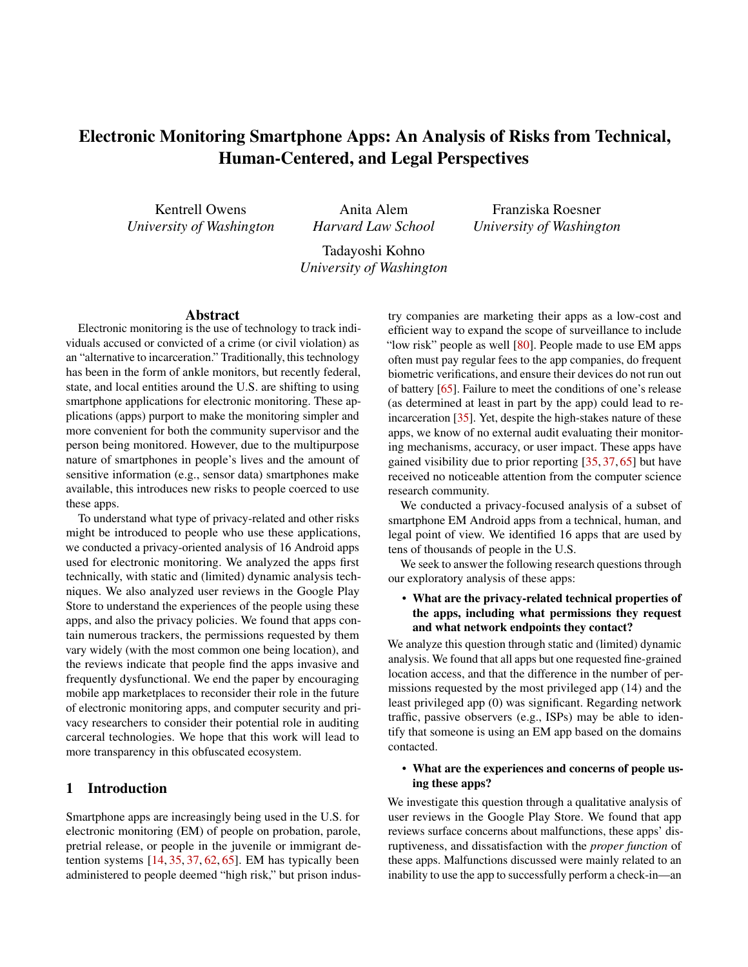# Electronic Monitoring Smartphone Apps: An Analysis of Risks from Technical, Human-Centered, and Legal Perspectives

Kentrell Owens *University of Washington*

Anita Alem *Harvard Law School*

Franziska Roesner *University of Washington*

Tadayoshi Kohno *University of Washington*

#### Abstract

Electronic monitoring is the use of technology to track individuals accused or convicted of a crime (or civil violation) as an "alternative to incarceration." Traditionally, this technology has been in the form of ankle monitors, but recently federal, state, and local entities around the U.S. are shifting to using smartphone applications for electronic monitoring. These applications (apps) purport to make the monitoring simpler and more convenient for both the community supervisor and the person being monitored. However, due to the multipurpose nature of smartphones in people's lives and the amount of sensitive information (e.g., sensor data) smartphones make available, this introduces new risks to people coerced to use these apps.

To understand what type of privacy-related and other risks might be introduced to people who use these applications, we conducted a privacy-oriented analysis of 16 Android apps used for electronic monitoring. We analyzed the apps first technically, with static and (limited) dynamic analysis techniques. We also analyzed user reviews in the Google Play Store to understand the experiences of the people using these apps, and also the privacy policies. We found that apps contain numerous trackers, the permissions requested by them vary widely (with the most common one being location), and the reviews indicate that people find the apps invasive and frequently dysfunctional. We end the paper by encouraging mobile app marketplaces to reconsider their role in the future of electronic monitoring apps, and computer security and privacy researchers to consider their potential role in auditing carceral technologies. We hope that this work will lead to more transparency in this obfuscated ecosystem.

## 1 Introduction

Smartphone apps are increasingly being used in the U.S. for electronic monitoring (EM) of people on probation, parole, pretrial release, or people in the juvenile or immigrant detention systems [\[14,](#page-13-0) [35,](#page-14-0) [37,](#page-14-1) [62,](#page-15-0) [65\]](#page-15-1). EM has typically been administered to people deemed "high risk," but prison indus-

try companies are marketing their apps as a low-cost and efficient way to expand the scope of surveillance to include "low risk" people as well [\[80\]](#page-15-2). People made to use EM apps often must pay regular fees to the app companies, do frequent biometric verifications, and ensure their devices do not run out of battery [\[65\]](#page-15-1). Failure to meet the conditions of one's release (as determined at least in part by the app) could lead to reincarceration [\[35\]](#page-14-0). Yet, despite the high-stakes nature of these apps, we know of no external audit evaluating their monitoring mechanisms, accuracy, or user impact. These apps have gained visibility due to prior reporting [\[35,](#page-14-0) [37,](#page-14-1) [65\]](#page-15-1) but have received no noticeable attention from the computer science research community.

We conducted a privacy-focused analysis of a subset of smartphone EM Android apps from a technical, human, and legal point of view. We identified 16 apps that are used by tens of thousands of people in the U.S.

We seek to answer the following research questions through our exploratory analysis of these apps:

### • What are the privacy-related technical properties of the apps, including what permissions they request and what network endpoints they contact?

We analyze this question through static and (limited) dynamic analysis. We found that all apps but one requested fine-grained location access, and that the difference in the number of permissions requested by the most privileged app (14) and the least privileged app (0) was significant. Regarding network traffic, passive observers (e.g., ISPs) may be able to identify that someone is using an EM app based on the domains contacted.

### • What are the experiences and concerns of people using these apps?

We investigate this question through a qualitative analysis of user reviews in the Google Play Store. We found that app reviews surface concerns about malfunctions, these apps' disruptiveness, and dissatisfaction with the *proper function* of these apps. Malfunctions discussed were mainly related to an inability to use the app to successfully perform a check-in—an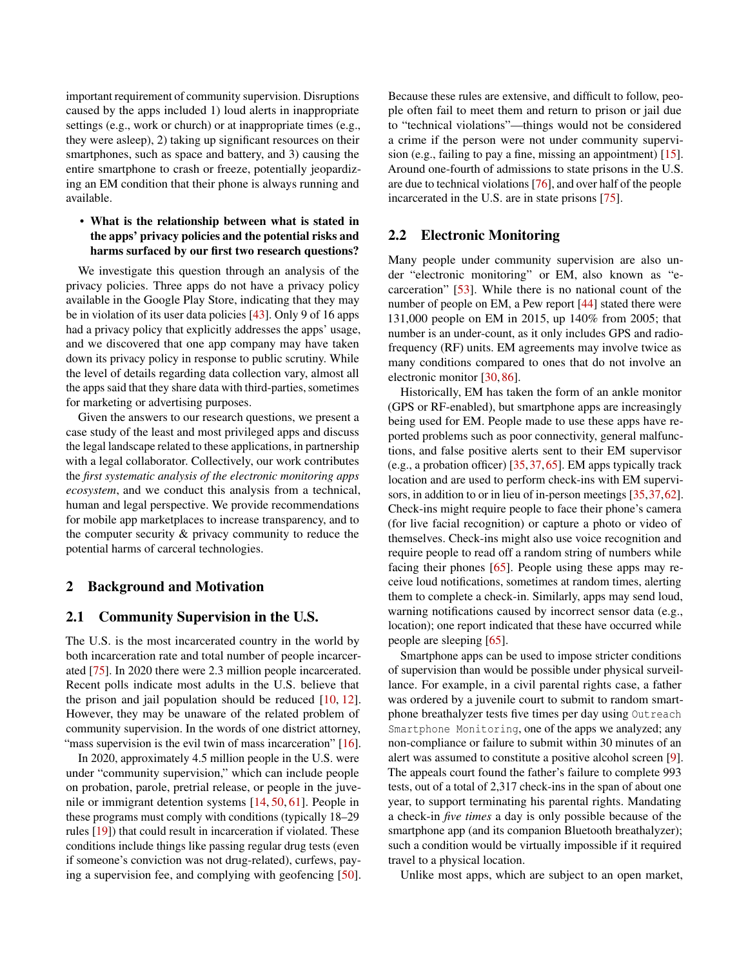important requirement of community supervision. Disruptions caused by the apps included 1) loud alerts in inappropriate settings (e.g., work or church) or at inappropriate times (e.g., they were asleep), 2) taking up significant resources on their smartphones, such as space and battery, and 3) causing the entire smartphone to crash or freeze, potentially jeopardizing an EM condition that their phone is always running and available.

### • What is the relationship between what is stated in the apps' privacy policies and the potential risks and harms surfaced by our first two research questions?

We investigate this question through an analysis of the privacy policies. Three apps do not have a privacy policy available in the Google Play Store, indicating that they may be in violation of its user data policies [\[43\]](#page-14-2). Only 9 of 16 apps had a privacy policy that explicitly addresses the apps' usage, and we discovered that one app company may have taken down its privacy policy in response to public scrutiny. While the level of details regarding data collection vary, almost all the apps said that they share data with third-parties, sometimes for marketing or advertising purposes.

Given the answers to our research questions, we present a case study of the least and most privileged apps and discuss the legal landscape related to these applications, in partnership with a legal collaborator. Collectively, our work contributes the *first systematic analysis of the electronic monitoring apps ecosystem*, and we conduct this analysis from a technical, human and legal perspective. We provide recommendations for mobile app marketplaces to increase transparency, and to the computer security & privacy community to reduce the potential harms of carceral technologies.

### 2 Background and Motivation

### 2.1 Community Supervision in the U.S.

The U.S. is the most incarcerated country in the world by both incarceration rate and total number of people incarcerated [\[75\]](#page-15-3). In 2020 there were 2.3 million people incarcerated. Recent polls indicate most adults in the U.S. believe that the prison and jail population should be reduced  $[10, 12]$  $[10, 12]$  $[10, 12]$ . However, they may be unaware of the related problem of community supervision. In the words of one district attorney, "mass supervision is the evil twin of mass incarceration" [\[16\]](#page-13-3).

In 2020, approximately 4.5 million people in the U.S. were under "community supervision," which can include people on probation, parole, pretrial release, or people in the juvenile or immigrant detention systems [\[14,](#page-13-0) [50,](#page-14-3) [61\]](#page-15-4). People in these programs must comply with conditions (typically 18–29 rules [\[19\]](#page-13-4)) that could result in incarceration if violated. These conditions include things like passing regular drug tests (even if someone's conviction was not drug-related), curfews, paying a supervision fee, and complying with geofencing [\[50\]](#page-14-3). Because these rules are extensive, and difficult to follow, people often fail to meet them and return to prison or jail due to "technical violations"—things would not be considered a crime if the person were not under community supervision (e.g., failing to pay a fine, missing an appointment) [\[15\]](#page-13-5). Around one-fourth of admissions to state prisons in the U.S. are due to technical violations [\[76\]](#page-15-5), and over half of the people incarcerated in the U.S. are in state prisons [\[75\]](#page-15-3).

### 2.2 Electronic Monitoring

Many people under community supervision are also under "electronic monitoring" or EM, also known as "ecarceration" [\[53\]](#page-14-4). While there is no national count of the number of people on EM, a Pew report [\[44\]](#page-14-5) stated there were 131,000 people on EM in 2015, up 140% from 2005; that number is an under-count, as it only includes GPS and radiofrequency (RF) units. EM agreements may involve twice as many conditions compared to ones that do not involve an electronic monitor [\[30,](#page-14-6) [86\]](#page-15-6).

Historically, EM has taken the form of an ankle monitor (GPS or RF-enabled), but smartphone apps are increasingly being used for EM. People made to use these apps have reported problems such as poor connectivity, general malfunctions, and false positive alerts sent to their EM supervisor (e.g., a probation officer) [\[35,](#page-14-0)[37,](#page-14-1)[65\]](#page-15-1). EM apps typically track location and are used to perform check-ins with EM supervisors, in addition to or in lieu of in-person meetings [\[35,](#page-14-0)[37,](#page-14-1)[62\]](#page-15-0). Check-ins might require people to face their phone's camera (for live facial recognition) or capture a photo or video of themselves. Check-ins might also use voice recognition and require people to read off a random string of numbers while facing their phones [\[65\]](#page-15-1). People using these apps may receive loud notifications, sometimes at random times, alerting them to complete a check-in. Similarly, apps may send loud, warning notifications caused by incorrect sensor data (e.g., location); one report indicated that these have occurred while people are sleeping [\[65\]](#page-15-1).

Smartphone apps can be used to impose stricter conditions of supervision than would be possible under physical surveillance. For example, in a civil parental rights case, a father was ordered by a juvenile court to submit to random smartphone breathalyzer tests five times per day using Outreach Smartphone Monitoring, one of the apps we analyzed; any non-compliance or failure to submit within 30 minutes of an alert was assumed to constitute a positive alcohol screen [\[9\]](#page-13-6). The appeals court found the father's failure to complete 993 tests, out of a total of 2,317 check-ins in the span of about one year, to support terminating his parental rights. Mandating a check-in *five times* a day is only possible because of the smartphone app (and its companion Bluetooth breathalyzer); such a condition would be virtually impossible if it required travel to a physical location.

Unlike most apps, which are subject to an open market,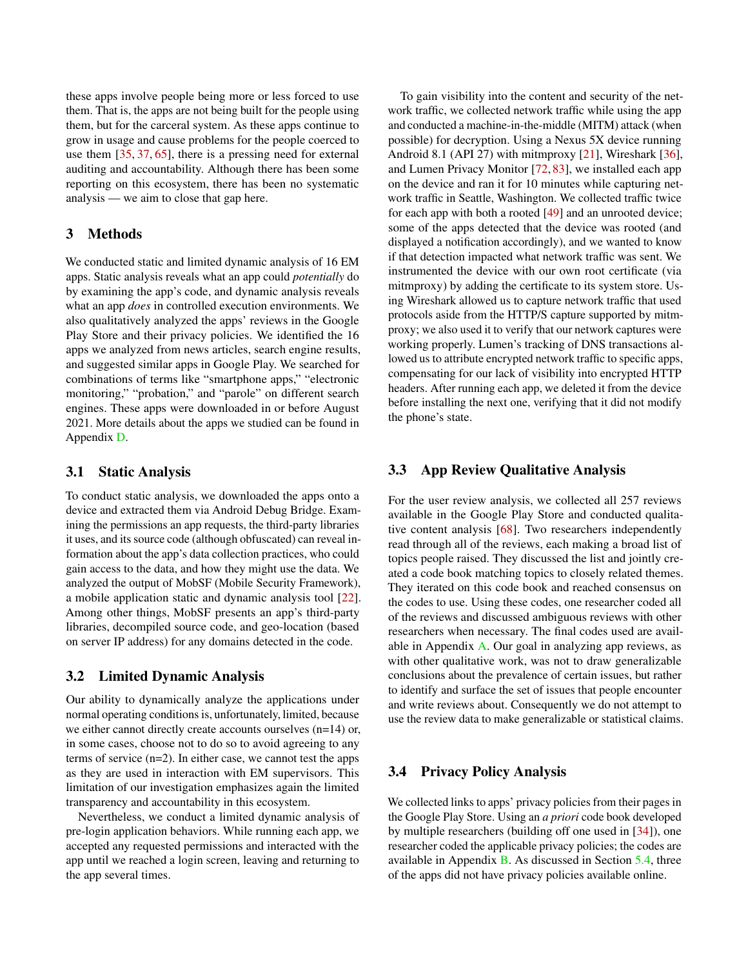these apps involve people being more or less forced to use them. That is, the apps are not being built for the people using them, but for the carceral system. As these apps continue to grow in usage and cause problems for the people coerced to use them [\[35,](#page-14-0) [37,](#page-14-1) [65\]](#page-15-1), there is a pressing need for external auditing and accountability. Although there has been some reporting on this ecosystem, there has been no systematic analysis — we aim to close that gap here.

### 3 Methods

We conducted static and limited dynamic analysis of 16 EM apps. Static analysis reveals what an app could *potentially* do by examining the app's code, and dynamic analysis reveals what an app *does* in controlled execution environments. We also qualitatively analyzed the apps' reviews in the Google Play Store and their privacy policies. We identified the 16 apps we analyzed from news articles, search engine results, and suggested similar apps in Google Play. We searched for combinations of terms like "smartphone apps," "electronic monitoring," "probation," and "parole" on different search engines. These apps were downloaded in or before August 2021. More details about the apps we studied can be found in Appendix [D.](#page-17-0)

## 3.1 Static Analysis

To conduct static analysis, we downloaded the apps onto a device and extracted them via Android Debug Bridge. Examining the permissions an app requests, the third-party libraries it uses, and its source code (although obfuscated) can reveal information about the app's data collection practices, who could gain access to the data, and how they might use the data. We analyzed the output of MobSF (Mobile Security Framework), a mobile application static and dynamic analysis tool [\[22\]](#page-14-7). Among other things, MobSF presents an app's third-party libraries, decompiled source code, and geo-location (based on server IP address) for any domains detected in the code.

### <span id="page-2-0"></span>3.2 Limited Dynamic Analysis

Our ability to dynamically analyze the applications under normal operating conditions is, unfortunately, limited, because we either cannot directly create accounts ourselves (n=14) or, in some cases, choose not to do so to avoid agreeing to any terms of service (n=2). In either case, we cannot test the apps as they are used in interaction with EM supervisors. This limitation of our investigation emphasizes again the limited transparency and accountability in this ecosystem.

Nevertheless, we conduct a limited dynamic analysis of pre-login application behaviors. While running each app, we accepted any requested permissions and interacted with the app until we reached a login screen, leaving and returning to the app several times.

To gain visibility into the content and security of the network traffic, we collected network traffic while using the app and conducted a machine-in-the-middle (MITM) attack (when possible) for decryption. Using a Nexus 5X device running Android 8.1 (API 27) with mitmproxy [\[21\]](#page-14-8), Wireshark [\[36\]](#page-14-9), and Lumen Privacy Monitor [\[72,](#page-15-7) [83\]](#page-15-8), we installed each app on the device and ran it for 10 minutes while capturing network traffic in Seattle, Washington. We collected traffic twice for each app with both a rooted [\[49\]](#page-14-10) and an unrooted device; some of the apps detected that the device was rooted (and displayed a notification accordingly), and we wanted to know if that detection impacted what network traffic was sent. We instrumented the device with our own root certificate (via mitmproxy) by adding the certificate to its system store. Using Wireshark allowed us to capture network traffic that used protocols aside from the HTTP/S capture supported by mitmproxy; we also used it to verify that our network captures were working properly. Lumen's tracking of DNS transactions allowed us to attribute encrypted network traffic to specific apps, compensating for our lack of visibility into encrypted HTTP headers. After running each app, we deleted it from the device before installing the next one, verifying that it did not modify the phone's state.

### 3.3 App Review Qualitative Analysis

For the user review analysis, we collected all 257 reviews available in the Google Play Store and conducted qualitative content analysis [\[68\]](#page-15-9). Two researchers independently read through all of the reviews, each making a broad list of topics people raised. They discussed the list and jointly created a code book matching topics to closely related themes. They iterated on this code book and reached consensus on the codes to use. Using these codes, one researcher coded all of the reviews and discussed ambiguous reviews with other researchers when necessary. The final codes used are available in Appendix [A.](#page-15-10) Our goal in analyzing app reviews, as with other qualitative work, was not to draw generalizable conclusions about the prevalence of certain issues, but rather to identify and surface the set of issues that people encounter and write reviews about. Consequently we do not attempt to use the review data to make generalizable or statistical claims.

# 3.4 Privacy Policy Analysis

We collected links to apps' privacy policies from their pages in the Google Play Store. Using an *a priori* code book developed by multiple researchers (building off one used in [\[34\]](#page-14-11)), one researcher coded the applicable privacy policies; the codes are available in Appendix [B.](#page-16-0) As discussed in Section [5.4,](#page-8-0) three of the apps did not have privacy policies available online.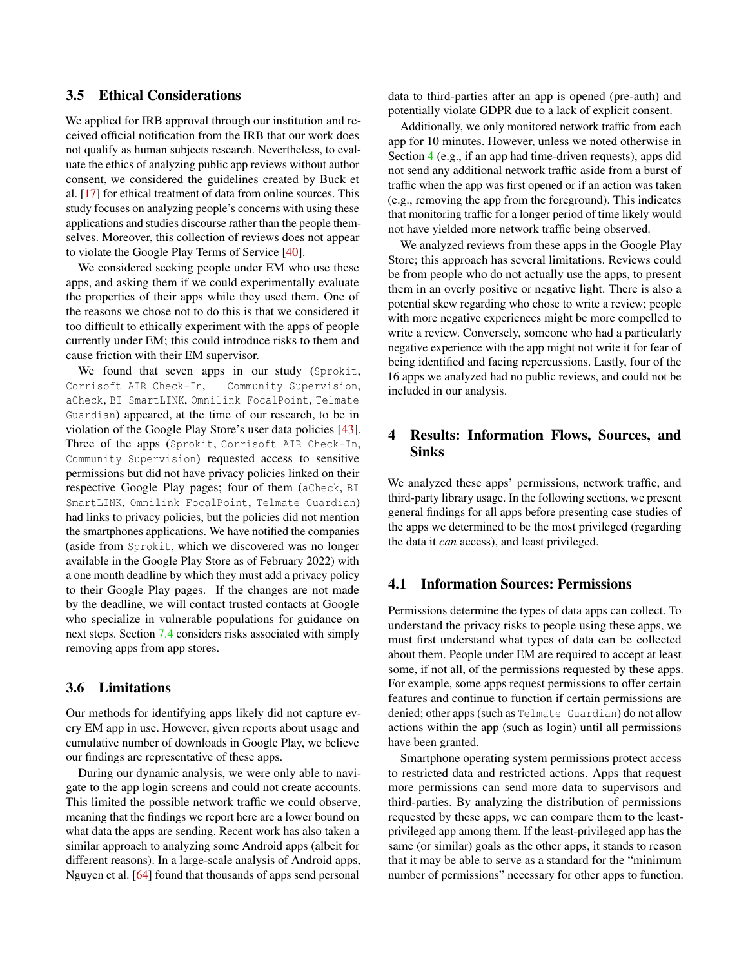### 3.5 Ethical Considerations

We applied for IRB approval through our institution and received official notification from the IRB that our work does not qualify as human subjects research. Nevertheless, to evaluate the ethics of analyzing public app reviews without author consent, we considered the guidelines created by Buck et al. [\[17\]](#page-13-7) for ethical treatment of data from online sources. This study focuses on analyzing people's concerns with using these applications and studies discourse rather than the people themselves. Moreover, this collection of reviews does not appear to violate the Google Play Terms of Service [\[40\]](#page-14-12).

We considered seeking people under EM who use these apps, and asking them if we could experimentally evaluate the properties of their apps while they used them. One of the reasons we chose not to do this is that we considered it too difficult to ethically experiment with the apps of people currently under EM; this could introduce risks to them and cause friction with their EM supervisor.

We found that seven apps in our study (Sprokit, Corrisoft AIR Check-In, Community Supervision, aCheck, BI SmartLINK, Omnilink FocalPoint, Telmate Guardian) appeared, at the time of our research, to be in violation of the Google Play Store's user data policies [\[43\]](#page-14-2). Three of the apps (Sprokit, Corrisoft AIR Check-In, Community Supervision) requested access to sensitive permissions but did not have privacy policies linked on their respective Google Play pages; four of them (aCheck, BI SmartLINK, Omnilink FocalPoint, Telmate Guardian) had links to privacy policies, but the policies did not mention the smartphones applications. We have notified the companies (aside from Sprokit, which we discovered was no longer available in the Google Play Store as of February 2022) with a one month deadline by which they must add a privacy policy to their Google Play pages. If the changes are not made by the deadline, we will contact trusted contacts at Google who specialize in vulnerable populations for guidance on next steps. Section [7.4](#page-11-0) considers risks associated with simply removing apps from app stores.

### 3.6 Limitations

Our methods for identifying apps likely did not capture every EM app in use. However, given reports about usage and cumulative number of downloads in Google Play, we believe our findings are representative of these apps.

During our dynamic analysis, we were only able to navigate to the app login screens and could not create accounts. This limited the possible network traffic we could observe, meaning that the findings we report here are a lower bound on what data the apps are sending. Recent work has also taken a similar approach to analyzing some Android apps (albeit for different reasons). In a large-scale analysis of Android apps, Nguyen et al. [\[64\]](#page-15-11) found that thousands of apps send personal

data to third-parties after an app is opened (pre-auth) and potentially violate GDPR due to a lack of explicit consent.

Additionally, we only monitored network traffic from each app for 10 minutes. However, unless we noted otherwise in Section [4](#page-3-0) (e.g., if an app had time-driven requests), apps did not send any additional network traffic aside from a burst of traffic when the app was first opened or if an action was taken (e.g., removing the app from the foreground). This indicates that monitoring traffic for a longer period of time likely would not have yielded more network traffic being observed.

We analyzed reviews from these apps in the Google Play Store; this approach has several limitations. Reviews could be from people who do not actually use the apps, to present them in an overly positive or negative light. There is also a potential skew regarding who chose to write a review; people with more negative experiences might be more compelled to write a review. Conversely, someone who had a particularly negative experience with the app might not write it for fear of being identified and facing repercussions. Lastly, four of the 16 apps we analyzed had no public reviews, and could not be included in our analysis.

# <span id="page-3-0"></span>4 Results: Information Flows, Sources, and Sinks

We analyzed these apps' permissions, network traffic, and third-party library usage. In the following sections, we present general findings for all apps before presenting case studies of the apps we determined to be the most privileged (regarding the data it *can* access), and least privileged.

### 4.1 Information Sources: Permissions

Permissions determine the types of data apps can collect. To understand the privacy risks to people using these apps, we must first understand what types of data can be collected about them. People under EM are required to accept at least some, if not all, of the permissions requested by these apps. For example, some apps request permissions to offer certain features and continue to function if certain permissions are denied; other apps (such as Telmate Guardian) do not allow actions within the app (such as login) until all permissions have been granted.

Smartphone operating system permissions protect access to restricted data and restricted actions. Apps that request more permissions can send more data to supervisors and third-parties. By analyzing the distribution of permissions requested by these apps, we can compare them to the leastprivileged app among them. If the least-privileged app has the same (or similar) goals as the other apps, it stands to reason that it may be able to serve as a standard for the "minimum number of permissions" necessary for other apps to function.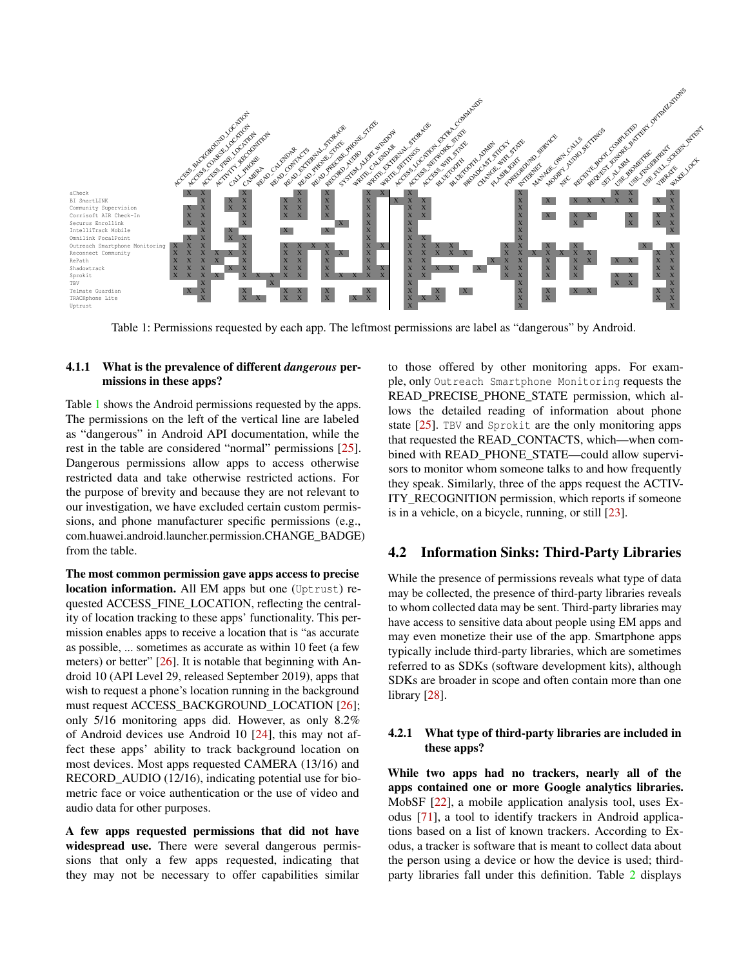

<span id="page-4-0"></span>Table 1: Permissions requested by each app. The leftmost permissions are label as "dangerous" by Android.

### 4.1.1 What is the prevalence of different *dangerous* permissions in these apps?

Table [1](#page-4-0) shows the Android permissions requested by the apps. The permissions on the left of the vertical line are labeled as "dangerous" in Android API documentation, while the rest in the table are considered "normal" permissions [\[25\]](#page-14-13). Dangerous permissions allow apps to access otherwise restricted data and take otherwise restricted actions. For the purpose of brevity and because they are not relevant to our investigation, we have excluded certain custom permissions, and phone manufacturer specific permissions (e.g., com.huawei.android.launcher.permission.CHANGE\_BADGE) from the table.

The most common permission gave apps access to precise location information. All EM apps but one (Uptrust) requested ACCESS\_FINE\_LOCATION, reflecting the centrality of location tracking to these apps' functionality. This permission enables apps to receive a location that is "as accurate as possible, ... sometimes as accurate as within 10 feet (a few meters) or better" [\[26\]](#page-14-14). It is notable that beginning with Android 10 (API Level 29, released September 2019), apps that wish to request a phone's location running in the background must request ACCESS\_BACKGROUND\_LOCATION [\[26\]](#page-14-14); only 5/16 monitoring apps did. However, as only 8.2% of Android devices use Android 10 [\[24\]](#page-14-15), this may not affect these apps' ability to track background location on most devices. Most apps requested CAMERA (13/16) and RECORD\_AUDIO (12/16), indicating potential use for biometric face or voice authentication or the use of video and audio data for other purposes.

A few apps requested permissions that did not have widespread use. There were several dangerous permissions that only a few apps requested, indicating that they may not be necessary to offer capabilities similar

to those offered by other monitoring apps. For example, only Outreach Smartphone Monitoring requests the READ\_PRECISE\_PHONE\_STATE\_permission, which allows the detailed reading of information about phone state [\[25\]](#page-14-13). TBV and Sprokit are the only monitoring apps that requested the READ\_CONTACTS, which—when combined with READ\_PHONE\_STATE—could allow supervisors to monitor whom someone talks to and how frequently they speak. Similarly, three of the apps request the ACTIV-ITY\_RECOGNITION permission, which reports if someone is in a vehicle, on a bicycle, running, or still [\[23\]](#page-14-16).

### 4.2 Information Sinks: Third-Party Libraries

While the presence of permissions reveals what type of data may be collected, the presence of third-party libraries reveals to whom collected data may be sent. Third-party libraries may have access to sensitive data about people using EM apps and may even monetize their use of the app. Smartphone apps typically include third-party libraries, which are sometimes referred to as SDKs (software development kits), although SDKs are broader in scope and often contain more than one library [\[28\]](#page-14-17).

### 4.2.1 What type of third-party libraries are included in these apps?

While two apps had no trackers, nearly all of the apps contained one or more Google analytics libraries. MobSF [\[22\]](#page-14-7), a mobile application analysis tool, uses Exodus [\[71\]](#page-15-12), a tool to identify trackers in Android applications based on a list of known trackers. According to Exodus, a tracker is software that is meant to collect data about the person using a device or how the device is used; thirdparty libraries fall under this definition. Table [2](#page-5-0) displays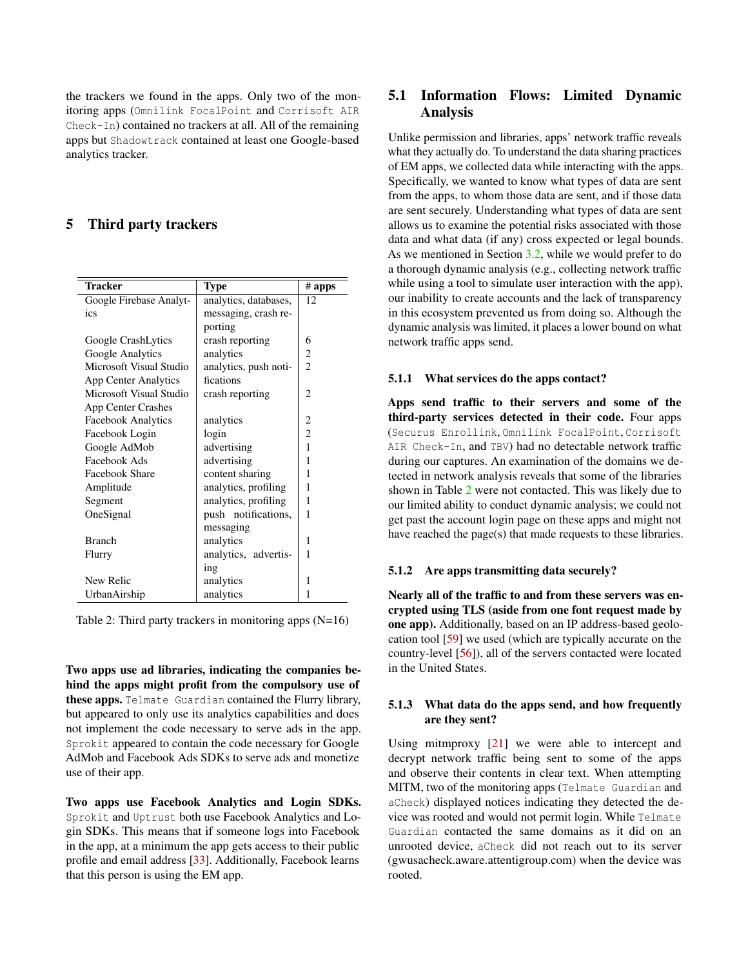the trackers we found in the apps. Only two of the monitoring apps (Omnilink FocalPoint and Corrisoft AIR Check-In) contained no trackers at all. All of the remaining apps but Shadowtrack contained at least one Google-based analytics tracker.

## 5 Third party trackers

| <b>Tracker</b>              | <b>Type</b>           | # apps         |  |  |  |
|-----------------------------|-----------------------|----------------|--|--|--|
| Google Firebase Analyt-     | analytics, databases, | 12             |  |  |  |
| ics                         | messaging, crash re-  |                |  |  |  |
|                             | porting               |                |  |  |  |
| Google CrashLytics          | crash reporting       | 6              |  |  |  |
| Google Analytics            | analytics             | $\overline{c}$ |  |  |  |
| Microsoft Visual Studio     | analytics, push noti- | $\overline{2}$ |  |  |  |
| <b>App Center Analytics</b> | fications             |                |  |  |  |
| Microsoft Visual Studio     | crash reporting       | 2              |  |  |  |
| <b>App Center Crashes</b>   |                       |                |  |  |  |
| <b>Facebook Analytics</b>   | analytics             | 2              |  |  |  |
| Facebook Login              | login                 | $\overline{2}$ |  |  |  |
| Google AdMob                | advertising           | 1              |  |  |  |
| Facebook Ads                | advertising           |                |  |  |  |
| Facebook Share              | content sharing       | 1              |  |  |  |
| Amplitude                   | analytics, profiling  | 1              |  |  |  |
| Segment                     | analytics, profiling  | 1              |  |  |  |
| OneSignal                   | push notifications,   | 1              |  |  |  |
|                             | messaging             |                |  |  |  |
| <b>Branch</b>               | analytics             | 1              |  |  |  |
| Flurry                      | analytics, advertis-  | 1              |  |  |  |
|                             | ing                   |                |  |  |  |
| New Relic                   | analytics             | 1              |  |  |  |
| UrbanAirship                | analytics             | 1              |  |  |  |

<span id="page-5-0"></span>Table 2: Third party trackers in monitoring apps (N=16)

Two apps use ad libraries, indicating the companies behind the apps might profit from the compulsory use of these apps. Telmate Guardian contained the Flurry library, but appeared to only use its analytics capabilities and does not implement the code necessary to serve ads in the app. Sprokit appeared to contain the code necessary for Google AdMob and Facebook Ads SDKs to serve ads and monetize use of their app.

Two apps use Facebook Analytics and Login SDKs. Sprokit and Uptrust both use Facebook Analytics and Login SDKs. This means that if someone logs into Facebook in the app, at a minimum the app gets access to their public profile and email address [\[33\]](#page-14-18). Additionally, Facebook learns that this person is using the EM app.

# 5.1 Information Flows: Limited Dynamic Analysis

Unlike permission and libraries, apps' network traffic reveals what they actually do. To understand the data sharing practices of EM apps, we collected data while interacting with the apps. Specifically, we wanted to know what types of data are sent from the apps, to whom those data are sent, and if those data are sent securely. Understanding what types of data are sent allows us to examine the potential risks associated with those data and what data (if any) cross expected or legal bounds. As we mentioned in Section [3.2,](#page-2-0) while we would prefer to do a thorough dynamic analysis (e.g., collecting network traffic while using a tool to simulate user interaction with the app), our inability to create accounts and the lack of transparency in this ecosystem prevented us from doing so. Although the dynamic analysis was limited, it places a lower bound on what network traffic apps send.

### 5.1.1 What services do the apps contact?

Apps send traffic to their servers and some of the third-party services detected in their code. Four apps (Securus Enrollink, Omnilink FocalPoint, Corrisoft AIR Check-In, and TBV) had no detectable network traffic during our captures. An examination of the domains we detected in network analysis reveals that some of the libraries shown in Table [2](#page-5-0) were not contacted. This was likely due to our limited ability to conduct dynamic analysis; we could not get past the account login page on these apps and might not have reached the page(s) that made requests to these libraries.

### 5.1.2 Are apps transmitting data securely?

Nearly all of the traffic to and from these servers was encrypted using TLS (aside from one font request made by one app). Additionally, based on an IP address-based geolocation tool [\[59\]](#page-15-13) we used (which are typically accurate on the country-level [\[56\]](#page-15-14)), all of the servers contacted were located in the United States.

### 5.1.3 What data do the apps send, and how frequently are they sent?

Using mitmproxy [\[21\]](#page-14-8) we were able to intercept and decrypt network traffic being sent to some of the apps and observe their contents in clear text. When attempting MITM, two of the monitoring apps (Telmate Guardian and aCheck) displayed notices indicating they detected the device was rooted and would not permit login. While Telmate Guardian contacted the same domains as it did on an unrooted device, aCheck did not reach out to its server (gwusacheck.aware.attentigroup.com) when the device was rooted.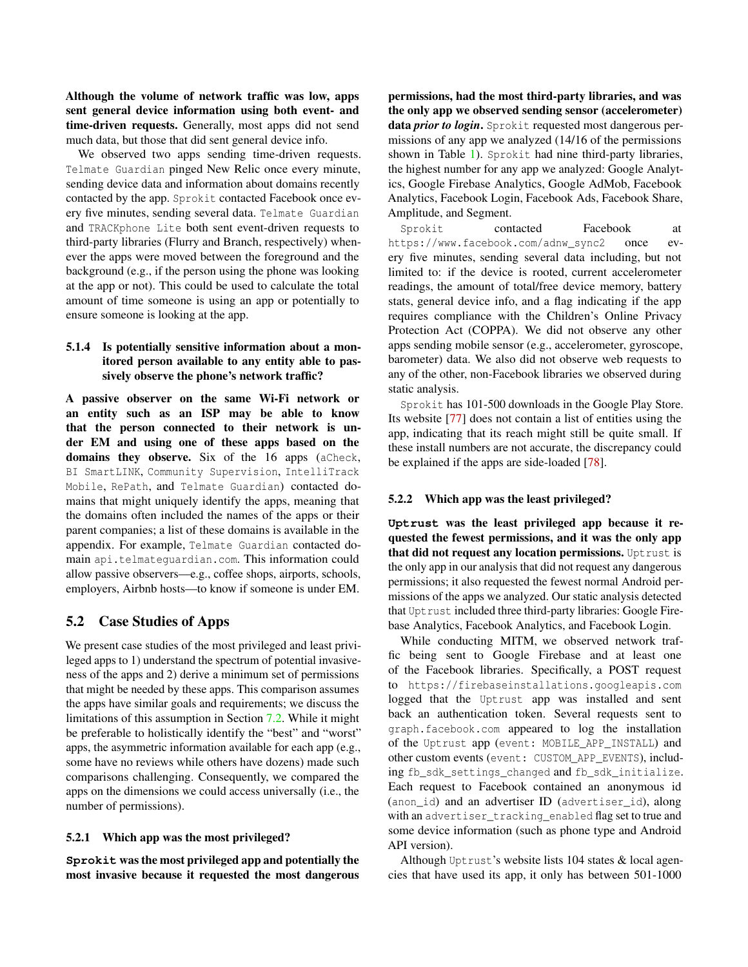Although the volume of network traffic was low, apps sent general device information using both event- and time-driven requests. Generally, most apps did not send much data, but those that did sent general device info.

We observed two apps sending time-driven requests. Telmate Guardian pinged New Relic once every minute, sending device data and information about domains recently contacted by the app. Sprokit contacted Facebook once every five minutes, sending several data. Telmate Guardian and TRACKphone Lite both sent event-driven requests to third-party libraries (Flurry and Branch, respectively) whenever the apps were moved between the foreground and the background (e.g., if the person using the phone was looking at the app or not). This could be used to calculate the total amount of time someone is using an app or potentially to ensure someone is looking at the app.

### 5.1.4 Is potentially sensitive information about a monitored person available to any entity able to passively observe the phone's network traffic?

A passive observer on the same Wi-Fi network or an entity such as an ISP may be able to know that the person connected to their network is under EM and using one of these apps based on the domains they observe. Six of the 16 apps (aCheck, BI SmartLINK, Community Supervision, IntelliTrack Mobile, RePath, and Telmate Guardian) contacted domains that might uniquely identify the apps, meaning that the domains often included the names of the apps or their parent companies; a list of these domains is available in the appendix. For example, Telmate Guardian contacted domain api.telmateguardian.com. This information could allow passive observers—e.g., coffee shops, airports, schools, employers, Airbnb hosts—to know if someone is under EM.

### 5.2 Case Studies of Apps

We present case studies of the most privileged and least privileged apps to 1) understand the spectrum of potential invasiveness of the apps and 2) derive a minimum set of permissions that might be needed by these apps. This comparison assumes the apps have similar goals and requirements; we discuss the limitations of this assumption in Section [7.2.](#page-11-1) While it might be preferable to holistically identify the "best" and "worst" apps, the asymmetric information available for each app (e.g., some have no reviews while others have dozens) made such comparisons challenging. Consequently, we compared the apps on the dimensions we could access universally (i.e., the number of permissions).

#### 5.2.1 Which app was the most privileged?

**Sprokit** was the most privileged app and potentially the most invasive because it requested the most dangerous

permissions, had the most third-party libraries, and was the only app we observed sending sensor (accelerometer) data *prior to login*. Sprokit requested most dangerous permissions of any app we analyzed (14/16 of the permissions shown in Table [1\)](#page-4-0). Sprokit had nine third-party libraries, the highest number for any app we analyzed: Google Analytics, Google Firebase Analytics, Google AdMob, Facebook Analytics, Facebook Login, Facebook Ads, Facebook Share, Amplitude, and Segment.

Sprokit contacted Facebook at https://www.facebook.com/adnw\_sync2 once every five minutes, sending several data including, but not limited to: if the device is rooted, current accelerometer readings, the amount of total/free device memory, battery stats, general device info, and a flag indicating if the app requires compliance with the Children's Online Privacy Protection Act (COPPA). We did not observe any other apps sending mobile sensor (e.g., accelerometer, gyroscope, barometer) data. We also did not observe web requests to any of the other, non-Facebook libraries we observed during static analysis.

Sprokit has 101-500 downloads in the Google Play Store. Its website [\[77\]](#page-15-15) does not contain a list of entities using the app, indicating that its reach might still be quite small. If these install numbers are not accurate, the discrepancy could be explained if the apps are side-loaded [\[78\]](#page-15-16).

#### 5.2.2 Which app was the least privileged?

**Uptrust** was the least privileged app because it requested the fewest permissions, and it was the only app that did not request any location permissions. Uptrust is the only app in our analysis that did not request any dangerous permissions; it also requested the fewest normal Android permissions of the apps we analyzed. Our static analysis detected that Uptrust included three third-party libraries: Google Firebase Analytics, Facebook Analytics, and Facebook Login.

While conducting MITM, we observed network traffic being sent to Google Firebase and at least one of the Facebook libraries. Specifically, a POST request to https://firebaseinstallations.googleapis.com logged that the Uptrust app was installed and sent back an authentication token. Several requests sent to graph.facebook.com appeared to log the installation of the Uptrust app (event: MOBILE\_APP\_INSTALL) and other custom events (event: CUSTOM\_APP\_EVENTS), including fb\_sdk\_settings\_changed and fb\_sdk\_initialize. Each request to Facebook contained an anonymous id (anon\_id) and an advertiser ID (advertiser\_id), along with an advertiser\_tracking\_enabled flag set to true and some device information (such as phone type and Android API version).

Although Uptrust's website lists 104 states & local agencies that have used its app, it only has between 501-1000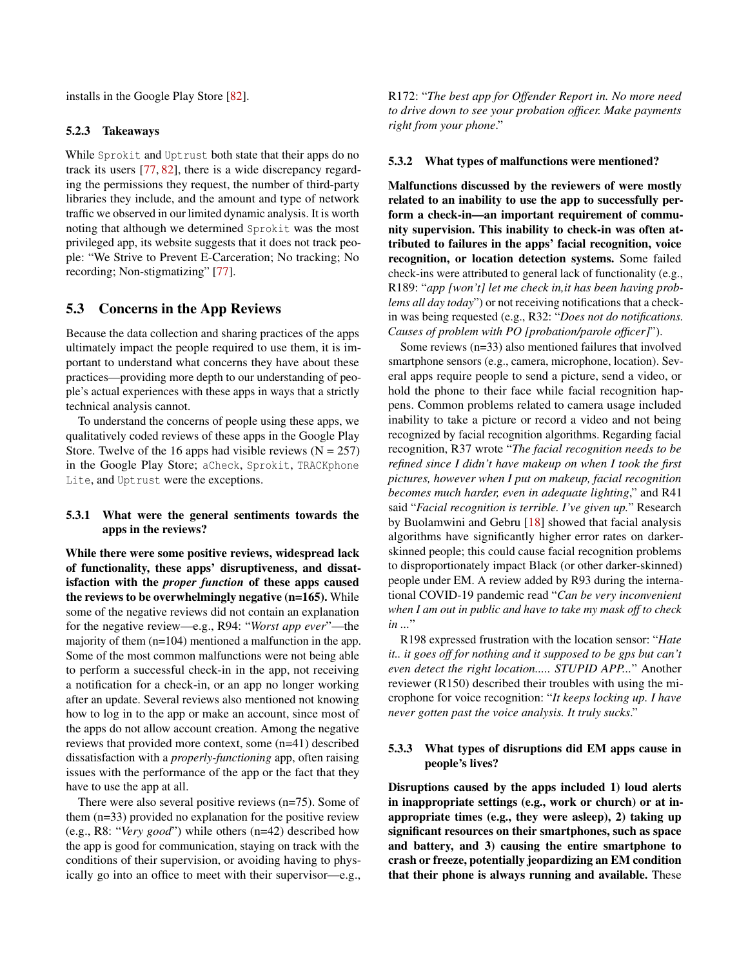installs in the Google Play Store [\[82\]](#page-15-17).

#### 5.2.3 Takeaways

While Sprokit and Uptrust both state that their apps do no track its users [\[77,](#page-15-15) [82\]](#page-15-17), there is a wide discrepancy regarding the permissions they request, the number of third-party libraries they include, and the amount and type of network traffic we observed in our limited dynamic analysis. It is worth noting that although we determined Sprokit was the most privileged app, its website suggests that it does not track people: "We Strive to Prevent E-Carceration; No tracking; No recording; Non-stigmatizing" [\[77\]](#page-15-15).

### <span id="page-7-0"></span>5.3 Concerns in the App Reviews

Because the data collection and sharing practices of the apps ultimately impact the people required to use them, it is important to understand what concerns they have about these practices—providing more depth to our understanding of people's actual experiences with these apps in ways that a strictly technical analysis cannot.

To understand the concerns of people using these apps, we qualitatively coded reviews of these apps in the Google Play Store. Twelve of the 16 apps had visible reviews ( $N = 257$ ) in the Google Play Store; aCheck, Sprokit, TRACKphone Lite, and Uptrust were the exceptions.

### 5.3.1 What were the general sentiments towards the apps in the reviews?

While there were some positive reviews, widespread lack of functionality, these apps' disruptiveness, and dissatisfaction with the *proper function* of these apps caused the reviews to be overwhelmingly negative (n=165). While some of the negative reviews did not contain an explanation for the negative review—e.g., R94: "*Worst app ever*"—the majority of them (n=104) mentioned a malfunction in the app. Some of the most common malfunctions were not being able to perform a successful check-in in the app, not receiving a notification for a check-in, or an app no longer working after an update. Several reviews also mentioned not knowing how to log in to the app or make an account, since most of the apps do not allow account creation. Among the negative reviews that provided more context, some (n=41) described dissatisfaction with a *properly-functioning* app, often raising issues with the performance of the app or the fact that they have to use the app at all.

There were also several positive reviews (n=75). Some of them (n=33) provided no explanation for the positive review (e.g., R8: "*Very good*") while others (n=42) described how the app is good for communication, staying on track with the conditions of their supervision, or avoiding having to physically go into an office to meet with their supervisor—e.g., R172: "*The best app for Offender Report in. No more need to drive down to see your probation officer. Make payments right from your phone*."

#### 5.3.2 What types of malfunctions were mentioned?

Malfunctions discussed by the reviewers of were mostly related to an inability to use the app to successfully perform a check-in—an important requirement of community supervision. This inability to check-in was often attributed to failures in the apps' facial recognition, voice recognition, or location detection systems. Some failed check-ins were attributed to general lack of functionality (e.g., R189: "*app [won't] let me check in,it has been having problems all day today*") or not receiving notifications that a checkin was being requested (e.g., R32: "*Does not do notifications. Causes of problem with PO [probation/parole officer]*").

Some reviews (n=33) also mentioned failures that involved smartphone sensors (e.g., camera, microphone, location). Several apps require people to send a picture, send a video, or hold the phone to their face while facial recognition happens. Common problems related to camera usage included inability to take a picture or record a video and not being recognized by facial recognition algorithms. Regarding facial recognition, R37 wrote "*The facial recognition needs to be refined since I didn't have makeup on when I took the first pictures, however when I put on makeup, facial recognition becomes much harder, even in adequate lighting*," and R41 said "*Facial recognition is terrible. I've given up.*" Research by Buolamwini and Gebru [\[18\]](#page-13-8) showed that facial analysis algorithms have significantly higher error rates on darkerskinned people; this could cause facial recognition problems to disproportionately impact Black (or other darker-skinned) people under EM. A review added by R93 during the international COVID-19 pandemic read "*Can be very inconvenient when I am out in public and have to take my mask off to check in ...*"

R198 expressed frustration with the location sensor: "*Hate it.. it goes off for nothing and it supposed to be gps but can't even detect the right location..... STUPID APP...*" Another reviewer (R150) described their troubles with using the microphone for voice recognition: "*It keeps locking up. I have never gotten past the voice analysis. It truly sucks*."

### 5.3.3 What types of disruptions did EM apps cause in people's lives?

Disruptions caused by the apps included 1) loud alerts in inappropriate settings (e.g., work or church) or at inappropriate times (e.g., they were asleep), 2) taking up significant resources on their smartphones, such as space and battery, and 3) causing the entire smartphone to crash or freeze, potentially jeopardizing an EM condition that their phone is always running and available. These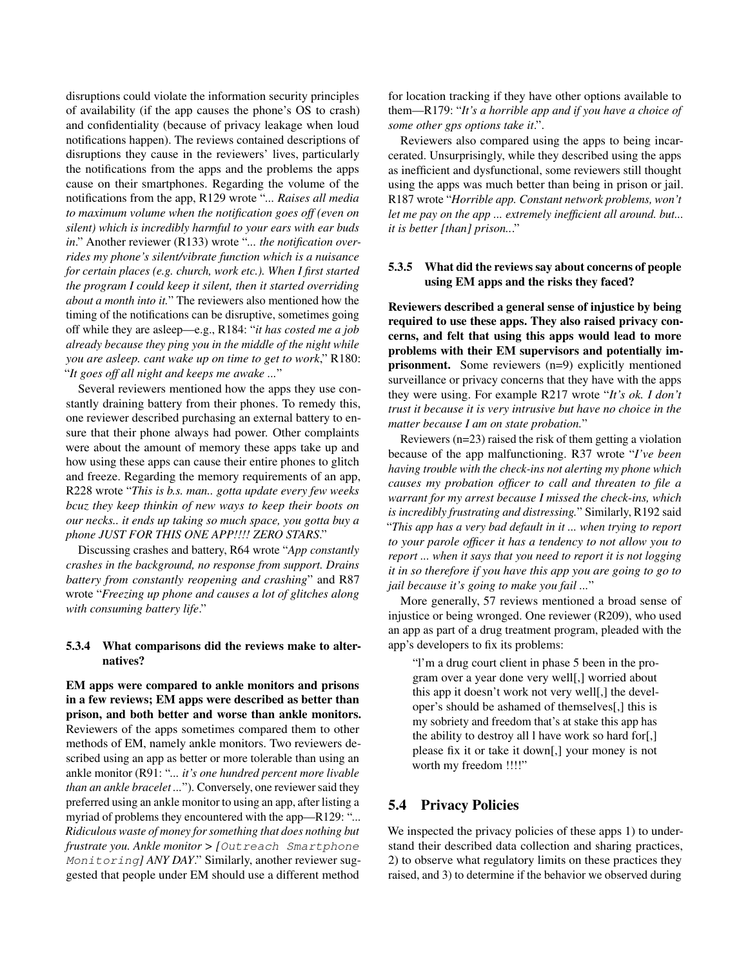disruptions could violate the information security principles of availability (if the app causes the phone's OS to crash) and confidentiality (because of privacy leakage when loud notifications happen). The reviews contained descriptions of disruptions they cause in the reviewers' lives, particularly the notifications from the apps and the problems the apps cause on their smartphones. Regarding the volume of the notifications from the app, R129 wrote "*... Raises all media to maximum volume when the notification goes off (even on silent) which is incredibly harmful to your ears with ear buds in*." Another reviewer (R133) wrote "*... the notification overrides my phone's silent/vibrate function which is a nuisance for certain places (e.g. church, work etc.). When I first started the program I could keep it silent, then it started overriding about a month into it.*" The reviewers also mentioned how the timing of the notifications can be disruptive, sometimes going off while they are asleep—e.g., R184: "*it has costed me a job already because they ping you in the middle of the night while you are asleep. cant wake up on time to get to work*," R180: "*It goes off all night and keeps me awake ...*"

Several reviewers mentioned how the apps they use constantly draining battery from their phones. To remedy this, one reviewer described purchasing an external battery to ensure that their phone always had power. Other complaints were about the amount of memory these apps take up and how using these apps can cause their entire phones to glitch and freeze. Regarding the memory requirements of an app, R228 wrote "*This is b.s. man.. gotta update every few weeks bcuz they keep thinkin of new ways to keep their boots on our necks.. it ends up taking so much space, you gotta buy a phone JUST FOR THIS ONE APP!!!! ZERO STARS*."

Discussing crashes and battery, R64 wrote "*App constantly crashes in the background, no response from support. Drains battery from constantly reopening and crashing*" and R87 wrote "*Freezing up phone and causes a lot of glitches along with consuming battery life*."

#### 5.3.4 What comparisons did the reviews make to alternatives?

EM apps were compared to ankle monitors and prisons in a few reviews; EM apps were described as better than prison, and both better and worse than ankle monitors. Reviewers of the apps sometimes compared them to other methods of EM, namely ankle monitors. Two reviewers described using an app as better or more tolerable than using an ankle monitor (R91: "*... it's one hundred percent more livable than an ankle bracelet ...*"). Conversely, one reviewer said they preferred using an ankle monitor to using an app, after listing a myriad of problems they encountered with the app—R129: "*... Ridiculous waste of money for something that does nothing but frustrate you. Ankle monitor > [*Outreach Smartphone Monitoring*] ANY DAY*." Similarly, another reviewer suggested that people under EM should use a different method

for location tracking if they have other options available to them—R179: "*It's a horrible app and if you have a choice of some other gps options take it*.".

Reviewers also compared using the apps to being incarcerated. Unsurprisingly, while they described using the apps as inefficient and dysfunctional, some reviewers still thought using the apps was much better than being in prison or jail. R187 wrote "*Horrible app. Constant network problems, won't let me pay on the app ... extremely inefficient all around. but... it is better [than] prison..*."

### 5.3.5 What did the reviews say about concerns of people using EM apps and the risks they faced?

Reviewers described a general sense of injustice by being required to use these apps. They also raised privacy concerns, and felt that using this apps would lead to more problems with their EM supervisors and potentially imprisonment. Some reviewers (n=9) explicitly mentioned surveillance or privacy concerns that they have with the apps they were using. For example R217 wrote "*It's ok. I don't trust it because it is very intrusive but have no choice in the matter because I am on state probation.*"

Reviewers (n=23) raised the risk of them getting a violation because of the app malfunctioning. R37 wrote "*I've been having trouble with the check-ins not alerting my phone which causes my probation officer to call and threaten to file a warrant for my arrest because I missed the check-ins, which is incredibly frustrating and distressing.*" Similarly, R192 said "*This app has a very bad default in it ... when trying to report to your parole officer it has a tendency to not allow you to report ... when it says that you need to report it is not logging it in so therefore if you have this app you are going to go to jail because it's going to make you fail ...*"

More generally, 57 reviews mentioned a broad sense of injustice or being wronged. One reviewer (R209), who used an app as part of a drug treatment program, pleaded with the app's developers to fix its problems:

"l'm a drug court client in phase 5 been in the program over a year done very well[,] worried about this app it doesn't work not very well[,] the developer's should be ashamed of themselves[,] this is my sobriety and freedom that's at stake this app has the ability to destroy all l have work so hard for[,] please fix it or take it down[,] your money is not worth my freedom !!!!"

# <span id="page-8-0"></span>5.4 Privacy Policies

We inspected the privacy policies of these apps 1) to understand their described data collection and sharing practices, 2) to observe what regulatory limits on these practices they raised, and 3) to determine if the behavior we observed during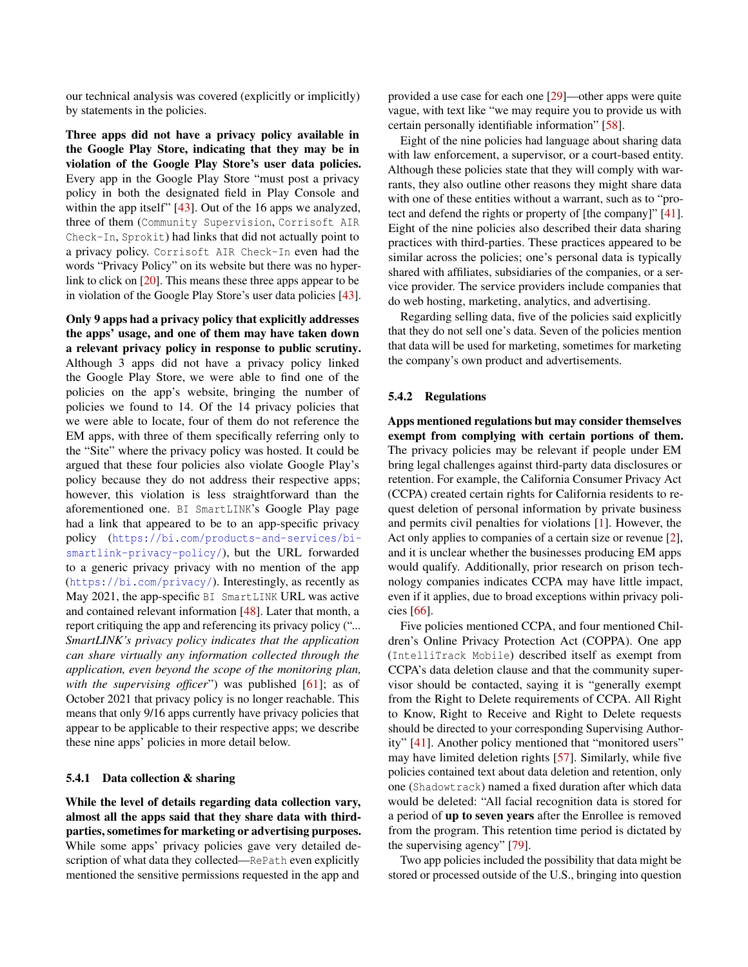our technical analysis was covered (explicitly or implicitly) by statements in the policies.

Three apps did not have a privacy policy available in the Google Play Store, indicating that they may be in violation of the Google Play Store's user data policies. Every app in the Google Play Store "must post a privacy policy in both the designated field in Play Console and within the app itself" [\[43\]](#page-14-2). Out of the 16 apps we analyzed, three of them (Community Supervision, Corrisoft AIR Check-In, Sprokit) had links that did not actually point to a privacy policy. Corrisoft AIR Check-In even had the words "Privacy Policy" on its website but there was no hyperlink to click on [\[20\]](#page-14-19). This means these three apps appear to be in violation of the Google Play Store's user data policies [\[43\]](#page-14-2).

Only 9 apps had a privacy policy that explicitly addresses the apps' usage, and one of them may have taken down a relevant privacy policy in response to public scrutiny. Although 3 apps did not have a privacy policy linked the Google Play Store, we were able to find one of the policies on the app's website, bringing the number of policies we found to 14. Of the 14 privacy policies that we were able to locate, four of them do not reference the EM apps, with three of them specifically referring only to the "Site" where the privacy policy was hosted. It could be argued that these four policies also violate Google Play's policy because they do not address their respective apps; however, this violation is less straightforward than the aforementioned one. BI SmartLINK's Google Play page had a link that appeared to be to an app-specific privacy policy ([https://bi.com/products-and-services/bi](https://bi.com/products-and-services/bi-smartlink-privacy-policy/)[smartlink-privacy-policy/](https://bi.com/products-and-services/bi-smartlink-privacy-policy/)), but the URL forwarded to a generic privacy privacy with no mention of the app (<https://bi.com/privacy/>). Interestingly, as recently as May 2021, the app-specific BI SmartLINK URL was active and contained relevant information [\[48\]](#page-14-20). Later that month, a report critiquing the app and referencing its privacy policy ("*... SmartLINK's privacy policy indicates that the application can share virtually any information collected through the application, even beyond the scope of the monitoring plan,* with the supervising officer") was published [\[61\]](#page-15-4); as of October 2021 that privacy policy is no longer reachable. This means that only 9/16 apps currently have privacy policies that appear to be applicable to their respective apps; we describe these nine apps' policies in more detail below.

#### 5.4.1 Data collection & sharing

While the level of details regarding data collection vary, almost all the apps said that they share data with thirdparties, sometimes for marketing or advertising purposes. While some apps' privacy policies gave very detailed description of what data they collected—RePath even explicitly mentioned the sensitive permissions requested in the app and

provided a use case for each one [\[29\]](#page-14-21)—other apps were quite vague, with text like "we may require you to provide us with certain personally identifiable information" [\[58\]](#page-15-18).

Eight of the nine policies had language about sharing data with law enforcement, a supervisor, or a court-based entity. Although these policies state that they will comply with warrants, they also outline other reasons they might share data with one of these entities without a warrant, such as to "protect and defend the rights or property of [the company]" [\[41\]](#page-14-22). Eight of the nine policies also described their data sharing practices with third-parties. These practices appeared to be similar across the policies; one's personal data is typically shared with affiliates, subsidiaries of the companies, or a service provider. The service providers include companies that do web hosting, marketing, analytics, and advertising.

Regarding selling data, five of the policies said explicitly that they do not sell one's data. Seven of the policies mention that data will be used for marketing, sometimes for marketing the company's own product and advertisements.

#### 5.4.2 Regulations

Apps mentioned regulations but may consider themselves exempt from complying with certain portions of them. The privacy policies may be relevant if people under EM bring legal challenges against third-party data disclosures or retention. For example, the California Consumer Privacy Act (CCPA) created certain rights for California residents to request deletion of personal information by private business and permits civil penalties for violations [\[1\]](#page-13-9). However, the Act only applies to companies of a certain size or revenue [\[2\]](#page-13-10), and it is unclear whether the businesses producing EM apps would qualify. Additionally, prior research on prison technology companies indicates CCPA may have little impact, even if it applies, due to broad exceptions within privacy policies [\[66\]](#page-15-19).

Five policies mentioned CCPA, and four mentioned Children's Online Privacy Protection Act (COPPA). One app (IntelliTrack Mobile) described itself as exempt from CCPA's data deletion clause and that the community supervisor should be contacted, saying it is "generally exempt from the Right to Delete requirements of CCPA. All Right to Know, Right to Receive and Right to Delete requests should be directed to your corresponding Supervising Authority" [\[41\]](#page-14-22). Another policy mentioned that "monitored users" may have limited deletion rights [\[57\]](#page-15-20). Similarly, while five policies contained text about data deletion and retention, only one (Shadowtrack) named a fixed duration after which data would be deleted: "All facial recognition data is stored for a period of up to seven years after the Enrollee is removed from the program. This retention time period is dictated by the supervising agency" [\[79\]](#page-15-21).

Two app policies included the possibility that data might be stored or processed outside of the U.S., bringing into question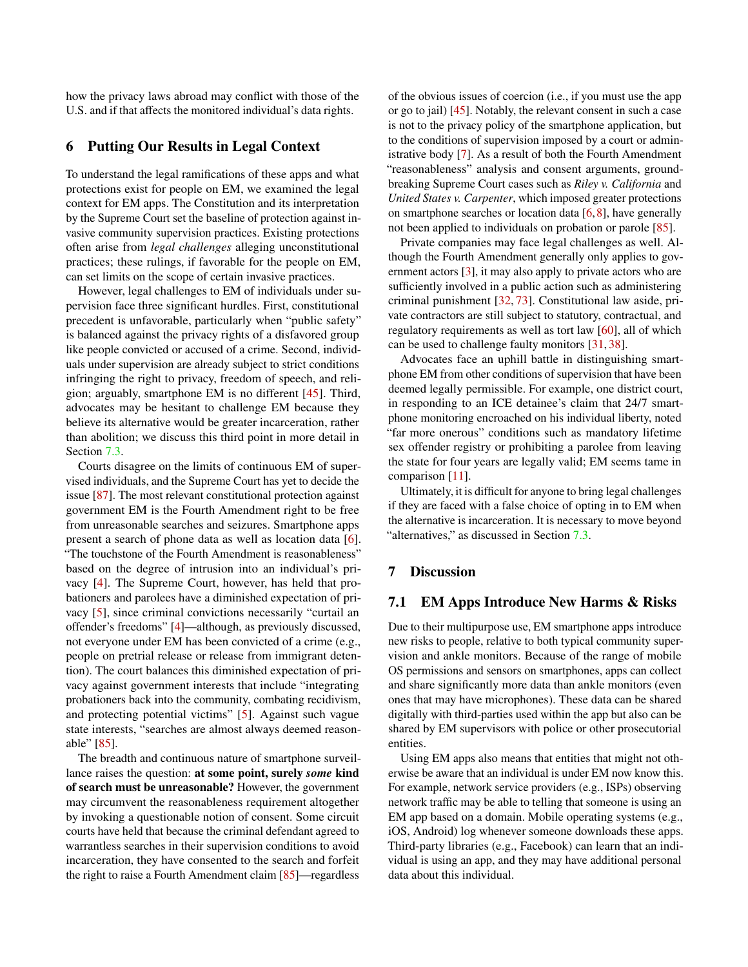how the privacy laws abroad may conflict with those of the U.S. and if that affects the monitored individual's data rights.

### <span id="page-10-0"></span>6 Putting Our Results in Legal Context

To understand the legal ramifications of these apps and what protections exist for people on EM, we examined the legal context for EM apps. The Constitution and its interpretation by the Supreme Court set the baseline of protection against invasive community supervision practices. Existing protections often arise from *legal challenges* alleging unconstitutional practices; these rulings, if favorable for the people on EM, can set limits on the scope of certain invasive practices.

However, legal challenges to EM of individuals under supervision face three significant hurdles. First, constitutional precedent is unfavorable, particularly when "public safety" is balanced against the privacy rights of a disfavored group like people convicted or accused of a crime. Second, individuals under supervision are already subject to strict conditions infringing the right to privacy, freedom of speech, and religion; arguably, smartphone EM is no different [\[45\]](#page-14-23). Third, advocates may be hesitant to challenge EM because they believe its alternative would be greater incarceration, rather than abolition; we discuss this third point in more detail in Section [7.3.](#page-11-2)

Courts disagree on the limits of continuous EM of supervised individuals, and the Supreme Court has yet to decide the issue [\[87\]](#page-15-22). The most relevant constitutional protection against government EM is the Fourth Amendment right to be free from unreasonable searches and seizures. Smartphone apps present a search of phone data as well as location data [\[6\]](#page-13-11). "The touchstone of the Fourth Amendment is reasonableness" based on the degree of intrusion into an individual's privacy [\[4\]](#page-13-12). The Supreme Court, however, has held that probationers and parolees have a diminished expectation of privacy [\[5\]](#page-13-13), since criminal convictions necessarily "curtail an offender's freedoms" [\[4\]](#page-13-12)—although, as previously discussed, not everyone under EM has been convicted of a crime (e.g., people on pretrial release or release from immigrant detention). The court balances this diminished expectation of privacy against government interests that include "integrating probationers back into the community, combating recidivism, and protecting potential victims" [\[5\]](#page-13-13). Against such vague state interests, "searches are almost always deemed reasonable" [\[85\]](#page-15-23).

The breadth and continuous nature of smartphone surveillance raises the question: at some point, surely *some* kind of search must be unreasonable? However, the government may circumvent the reasonableness requirement altogether by invoking a questionable notion of consent. Some circuit courts have held that because the criminal defendant agreed to warrantless searches in their supervision conditions to avoid incarceration, they have consented to the search and forfeit the right to raise a Fourth Amendment claim [\[85\]](#page-15-23)—regardless

of the obvious issues of coercion (i.e., if you must use the app or go to jail) [\[45\]](#page-14-23). Notably, the relevant consent in such a case is not to the privacy policy of the smartphone application, but to the conditions of supervision imposed by a court or administrative body [\[7\]](#page-13-14). As a result of both the Fourth Amendment "reasonableness" analysis and consent arguments, groundbreaking Supreme Court cases such as *Riley v. California* and *United States v. Carpenter*, which imposed greater protections on smartphone searches or location data  $[6, 8]$  $[6, 8]$  $[6, 8]$ , have generally not been applied to individuals on probation or parole [\[85\]](#page-15-23).

Private companies may face legal challenges as well. Although the Fourth Amendment generally only applies to government actors [\[3\]](#page-13-16), it may also apply to private actors who are sufficiently involved in a public action such as administering criminal punishment [\[32,](#page-14-24) [73\]](#page-15-24). Constitutional law aside, private contractors are still subject to statutory, contractual, and regulatory requirements as well as tort law [\[60\]](#page-15-25), all of which can be used to challenge faulty monitors [\[31,](#page-14-25) [38\]](#page-14-26).

Advocates face an uphill battle in distinguishing smartphone EM from other conditions of supervision that have been deemed legally permissible. For example, one district court, in responding to an ICE detainee's claim that 24/7 smartphone monitoring encroached on his individual liberty, noted "far more onerous" conditions such as mandatory lifetime sex offender registry or prohibiting a parolee from leaving the state for four years are legally valid; EM seems tame in comparison [\[11\]](#page-13-17).

Ultimately, it is difficult for anyone to bring legal challenges if they are faced with a false choice of opting in to EM when the alternative is incarceration. It is necessary to move beyond "alternatives," as discussed in Section [7.3.](#page-11-2)

### 7 Discussion

#### 7.1 EM Apps Introduce New Harms & Risks

Due to their multipurpose use, EM smartphone apps introduce new risks to people, relative to both typical community supervision and ankle monitors. Because of the range of mobile OS permissions and sensors on smartphones, apps can collect and share significantly more data than ankle monitors (even ones that may have microphones). These data can be shared digitally with third-parties used within the app but also can be shared by EM supervisors with police or other prosecutorial entities.

Using EM apps also means that entities that might not otherwise be aware that an individual is under EM now know this. For example, network service providers (e.g., ISPs) observing network traffic may be able to telling that someone is using an EM app based on a domain. Mobile operating systems (e.g., iOS, Android) log whenever someone downloads these apps. Third-party libraries (e.g., Facebook) can learn that an individual is using an app, and they may have additional personal data about this individual.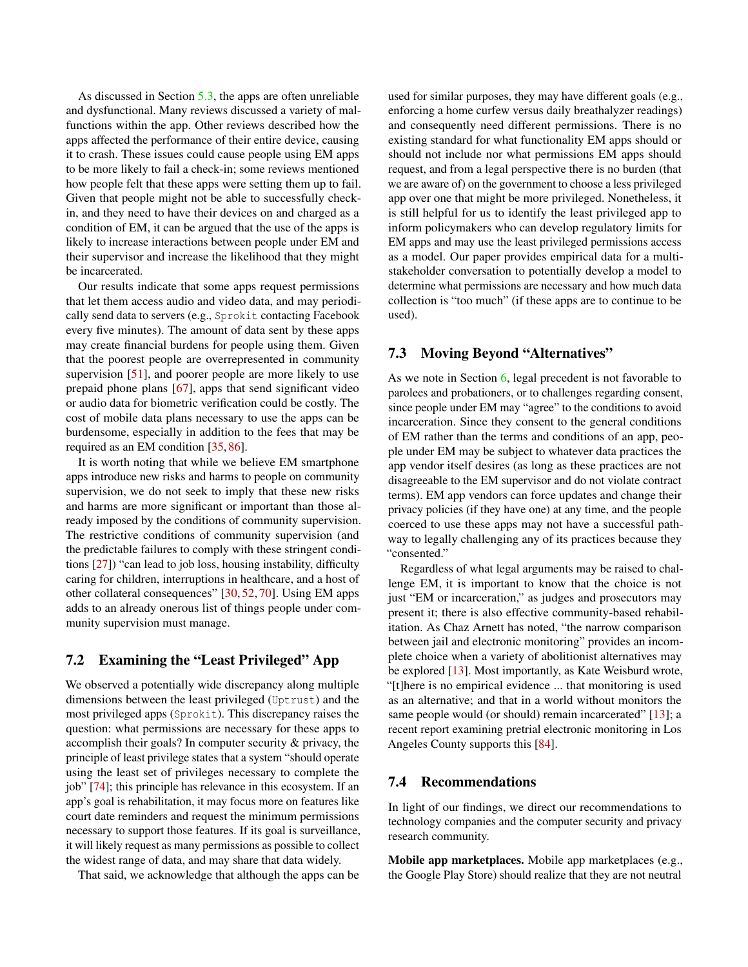As discussed in Section [5.3,](#page-7-0) the apps are often unreliable and dysfunctional. Many reviews discussed a variety of malfunctions within the app. Other reviews described how the apps affected the performance of their entire device, causing it to crash. These issues could cause people using EM apps to be more likely to fail a check-in; some reviews mentioned how people felt that these apps were setting them up to fail. Given that people might not be able to successfully checkin, and they need to have their devices on and charged as a condition of EM, it can be argued that the use of the apps is likely to increase interactions between people under EM and their supervisor and increase the likelihood that they might be incarcerated.

Our results indicate that some apps request permissions that let them access audio and video data, and may periodically send data to servers (e.g., Sprokit contacting Facebook every five minutes). The amount of data sent by these apps may create financial burdens for people using them. Given that the poorest people are overrepresented in community supervision [\[51\]](#page-14-27), and poorer people are more likely to use prepaid phone plans [\[67\]](#page-15-26), apps that send significant video or audio data for biometric verification could be costly. The cost of mobile data plans necessary to use the apps can be burdensome, especially in addition to the fees that may be required as an EM condition [\[35,](#page-14-0) [86\]](#page-15-6).

It is worth noting that while we believe EM smartphone apps introduce new risks and harms to people on community supervision, we do not seek to imply that these new risks and harms are more significant or important than those already imposed by the conditions of community supervision. The restrictive conditions of community supervision (and the predictable failures to comply with these stringent conditions [\[27\]](#page-14-28)) "can lead to job loss, housing instability, difficulty caring for children, interruptions in healthcare, and a host of other collateral consequences" [\[30,](#page-14-6) [52,](#page-14-29) [70\]](#page-15-27). Using EM apps adds to an already onerous list of things people under community supervision must manage.

# <span id="page-11-1"></span>7.2 Examining the "Least Privileged" App

We observed a potentially wide discrepancy along multiple dimensions between the least privileged (Uptrust) and the most privileged apps (Sprokit). This discrepancy raises the question: what permissions are necessary for these apps to accomplish their goals? In computer security & privacy, the principle of least privilege states that a system "should operate using the least set of privileges necessary to complete the job" [\[74\]](#page-15-28); this principle has relevance in this ecosystem. If an app's goal is rehabilitation, it may focus more on features like court date reminders and request the minimum permissions necessary to support those features. If its goal is surveillance, it will likely request as many permissions as possible to collect the widest range of data, and may share that data widely.

That said, we acknowledge that although the apps can be

used for similar purposes, they may have different goals (e.g., enforcing a home curfew versus daily breathalyzer readings) and consequently need different permissions. There is no existing standard for what functionality EM apps should or should not include nor what permissions EM apps should request, and from a legal perspective there is no burden (that we are aware of) on the government to choose a less privileged app over one that might be more privileged. Nonetheless, it is still helpful for us to identify the least privileged app to inform policymakers who can develop regulatory limits for EM apps and may use the least privileged permissions access as a model. Our paper provides empirical data for a multistakeholder conversation to potentially develop a model to determine what permissions are necessary and how much data collection is "too much" (if these apps are to continue to be used).

# <span id="page-11-2"></span>7.3 Moving Beyond "Alternatives"

As we note in Section [6,](#page-10-0) legal precedent is not favorable to parolees and probationers, or to challenges regarding consent, since people under EM may "agree" to the conditions to avoid incarceration. Since they consent to the general conditions of EM rather than the terms and conditions of an app, people under EM may be subject to whatever data practices the app vendor itself desires (as long as these practices are not disagreeable to the EM supervisor and do not violate contract terms). EM app vendors can force updates and change their privacy policies (if they have one) at any time, and the people coerced to use these apps may not have a successful pathway to legally challenging any of its practices because they "consented."

Regardless of what legal arguments may be raised to challenge EM, it is important to know that the choice is not just "EM or incarceration," as judges and prosecutors may present it; there is also effective community-based rehabilitation. As Chaz Arnett has noted, "the narrow comparison between jail and electronic monitoring" provides an incomplete choice when a variety of abolitionist alternatives may be explored [\[13\]](#page-13-18). Most importantly, as Kate Weisburd wrote, "[t]here is no empirical evidence ... that monitoring is used as an alternative; and that in a world without monitors the same people would (or should) remain incarcerated" [\[13\]](#page-13-18); a recent report examining pretrial electronic monitoring in Los Angeles County supports this [\[84\]](#page-15-29).

### <span id="page-11-0"></span>7.4 Recommendations

In light of our findings, we direct our recommendations to technology companies and the computer security and privacy research community.

Mobile app marketplaces. Mobile app marketplaces (e.g., the Google Play Store) should realize that they are not neutral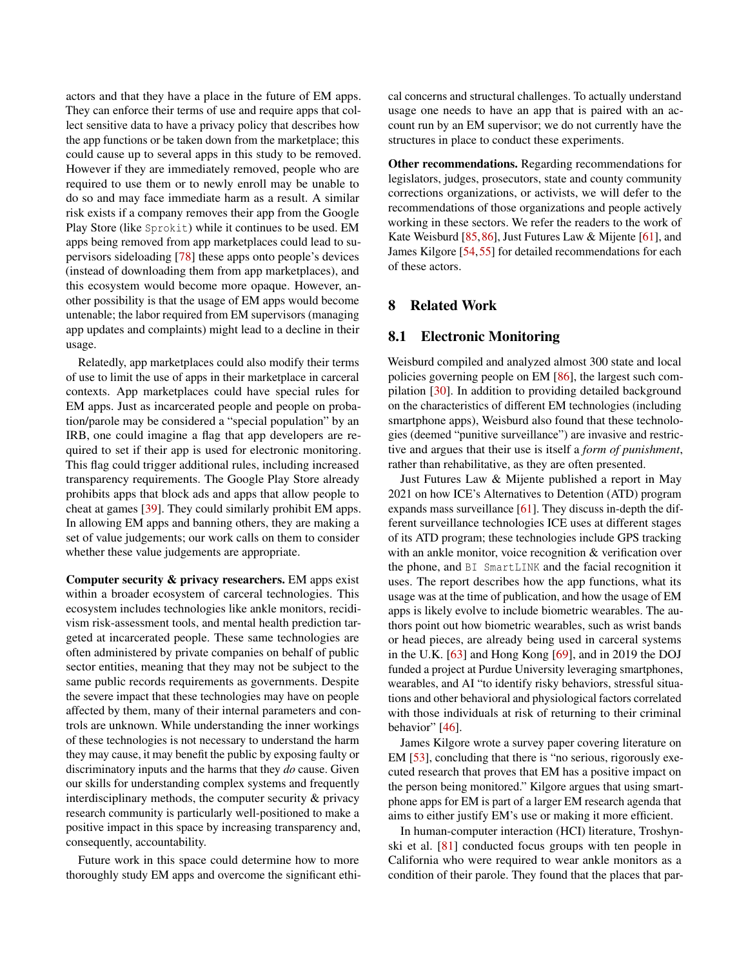actors and that they have a place in the future of EM apps. They can enforce their terms of use and require apps that collect sensitive data to have a privacy policy that describes how the app functions or be taken down from the marketplace; this could cause up to several apps in this study to be removed. However if they are immediately removed, people who are required to use them or to newly enroll may be unable to do so and may face immediate harm as a result. A similar risk exists if a company removes their app from the Google Play Store (like Sprokit) while it continues to be used. EM apps being removed from app marketplaces could lead to supervisors sideloading [\[78\]](#page-15-16) these apps onto people's devices (instead of downloading them from app marketplaces), and this ecosystem would become more opaque. However, another possibility is that the usage of EM apps would become untenable; the labor required from EM supervisors (managing app updates and complaints) might lead to a decline in their usage.

Relatedly, app marketplaces could also modify their terms of use to limit the use of apps in their marketplace in carceral contexts. App marketplaces could have special rules for EM apps. Just as incarcerated people and people on probation/parole may be considered a "special population" by an IRB, one could imagine a flag that app developers are required to set if their app is used for electronic monitoring. This flag could trigger additional rules, including increased transparency requirements. The Google Play Store already prohibits apps that block ads and apps that allow people to cheat at games [\[39\]](#page-14-30). They could similarly prohibit EM apps. In allowing EM apps and banning others, they are making a set of value judgements; our work calls on them to consider whether these value judgements are appropriate.

Computer security & privacy researchers. EM apps exist within a broader ecosystem of carceral technologies. This ecosystem includes technologies like ankle monitors, recidivism risk-assessment tools, and mental health prediction targeted at incarcerated people. These same technologies are often administered by private companies on behalf of public sector entities, meaning that they may not be subject to the same public records requirements as governments. Despite the severe impact that these technologies may have on people affected by them, many of their internal parameters and controls are unknown. While understanding the inner workings of these technologies is not necessary to understand the harm they may cause, it may benefit the public by exposing faulty or discriminatory inputs and the harms that they *do* cause. Given our skills for understanding complex systems and frequently interdisciplinary methods, the computer security & privacy research community is particularly well-positioned to make a positive impact in this space by increasing transparency and, consequently, accountability.

Future work in this space could determine how to more thoroughly study EM apps and overcome the significant ethical concerns and structural challenges. To actually understand usage one needs to have an app that is paired with an account run by an EM supervisor; we do not currently have the structures in place to conduct these experiments.

Other recommendations. Regarding recommendations for legislators, judges, prosecutors, state and county community corrections organizations, or activists, we will defer to the recommendations of those organizations and people actively working in these sectors. We refer the readers to the work of Kate Weisburd [\[85,](#page-15-23)[86\]](#page-15-6), Just Futures Law & Mijente [\[61\]](#page-15-4), and James Kilgore [\[54,](#page-14-31)[55\]](#page-15-30) for detailed recommendations for each of these actors.

### 8 Related Work

### 8.1 Electronic Monitoring

Weisburd compiled and analyzed almost 300 state and local policies governing people on EM [\[86\]](#page-15-6), the largest such compilation [\[30\]](#page-14-6). In addition to providing detailed background on the characteristics of different EM technologies (including smartphone apps), Weisburd also found that these technologies (deemed "punitive surveillance") are invasive and restrictive and argues that their use is itself a *form of punishment*, rather than rehabilitative, as they are often presented.

Just Futures Law & Mijente published a report in May 2021 on how ICE's Alternatives to Detention (ATD) program expands mass surveillance [\[61\]](#page-15-4). They discuss in-depth the different surveillance technologies ICE uses at different stages of its ATD program; these technologies include GPS tracking with an ankle monitor, voice recognition & verification over the phone, and BI SmartLINK and the facial recognition it uses. The report describes how the app functions, what its usage was at the time of publication, and how the usage of EM apps is likely evolve to include biometric wearables. The authors point out how biometric wearables, such as wrist bands or head pieces, are already being used in carceral systems in the U.K. [\[63\]](#page-15-31) and Hong Kong [\[69\]](#page-15-32), and in 2019 the DOJ funded a project at Purdue University leveraging smartphones, wearables, and AI "to identify risky behaviors, stressful situations and other behavioral and physiological factors correlated with those individuals at risk of returning to their criminal behavior" [\[46\]](#page-14-32).

James Kilgore wrote a survey paper covering literature on EM [\[53\]](#page-14-4), concluding that there is "no serious, rigorously executed research that proves that EM has a positive impact on the person being monitored." Kilgore argues that using smartphone apps for EM is part of a larger EM research agenda that aims to either justify EM's use or making it more efficient.

In human-computer interaction (HCI) literature, Troshynski et al. [\[81\]](#page-15-33) conducted focus groups with ten people in California who were required to wear ankle monitors as a condition of their parole. They found that the places that par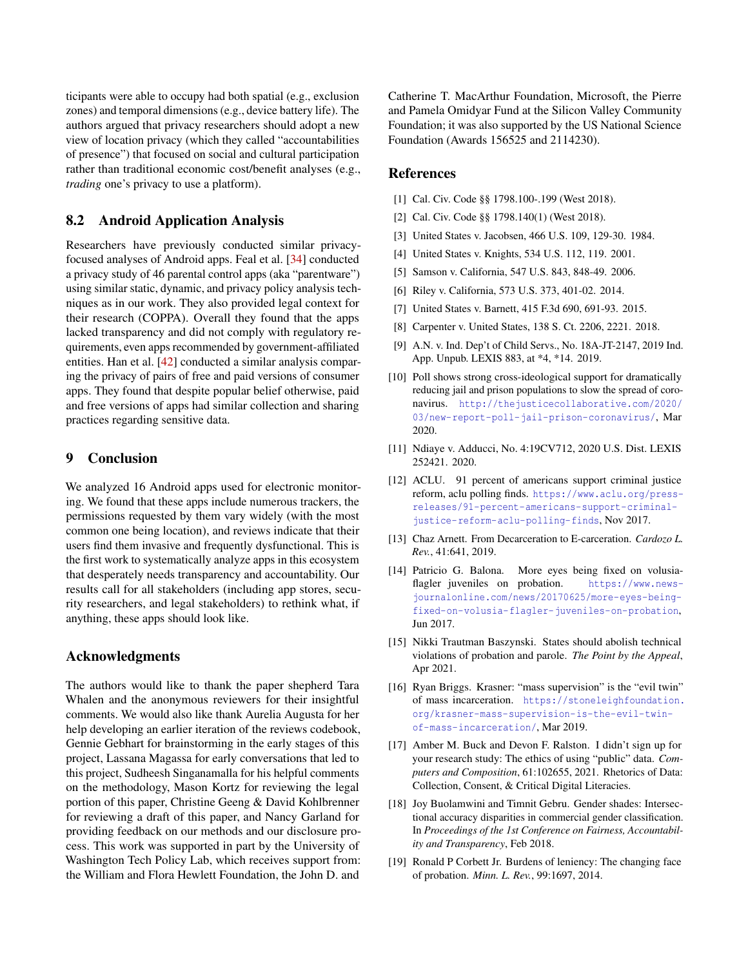ticipants were able to occupy had both spatial (e.g., exclusion zones) and temporal dimensions (e.g., device battery life). The authors argued that privacy researchers should adopt a new view of location privacy (which they called "accountabilities of presence") that focused on social and cultural participation rather than traditional economic cost/benefit analyses (e.g., *trading* one's privacy to use a platform).

# 8.2 Android Application Analysis

Researchers have previously conducted similar privacyfocused analyses of Android apps. Feal et al. [\[34\]](#page-14-11) conducted a privacy study of 46 parental control apps (aka "parentware") using similar static, dynamic, and privacy policy analysis techniques as in our work. They also provided legal context for their research (COPPA). Overall they found that the apps lacked transparency and did not comply with regulatory requirements, even apps recommended by government-affiliated entities. Han et al. [\[42\]](#page-14-33) conducted a similar analysis comparing the privacy of pairs of free and paid versions of consumer apps. They found that despite popular belief otherwise, paid and free versions of apps had similar collection and sharing practices regarding sensitive data.

### 9 Conclusion

We analyzed 16 Android apps used for electronic monitoring. We found that these apps include numerous trackers, the permissions requested by them vary widely (with the most common one being location), and reviews indicate that their users find them invasive and frequently dysfunctional. This is the first work to systematically analyze apps in this ecosystem that desperately needs transparency and accountability. Our results call for all stakeholders (including app stores, security researchers, and legal stakeholders) to rethink what, if anything, these apps should look like.

### Acknowledgments

The authors would like to thank the paper shepherd Tara Whalen and the anonymous reviewers for their insightful comments. We would also like thank Aurelia Augusta for her help developing an earlier iteration of the reviews codebook, Gennie Gebhart for brainstorming in the early stages of this project, Lassana Magassa for early conversations that led to this project, Sudheesh Singanamalla for his helpful comments on the methodology, Mason Kortz for reviewing the legal portion of this paper, Christine Geeng & David Kohlbrenner for reviewing a draft of this paper, and Nancy Garland for providing feedback on our methods and our disclosure process. This work was supported in part by the University of Washington Tech Policy Lab, which receives support from: the William and Flora Hewlett Foundation, the John D. and

Catherine T. MacArthur Foundation, Microsoft, the Pierre and Pamela Omidyar Fund at the Silicon Valley Community Foundation; it was also supported by the US National Science Foundation (Awards 156525 and 2114230).

### References

- <span id="page-13-9"></span>[1] Cal. Civ. Code §§ 1798.100-.199 (West 2018).
- <span id="page-13-10"></span>[2] Cal. Civ. Code §§ 1798.140(1) (West 2018).
- <span id="page-13-16"></span>[3] United States v. Jacobsen, 466 U.S. 109, 129-30. 1984.
- <span id="page-13-12"></span>[4] United States v. Knights, 534 U.S. 112, 119. 2001.
- <span id="page-13-13"></span>[5] Samson v. California, 547 U.S. 843, 848-49. 2006.
- <span id="page-13-11"></span>[6] Riley v. California, 573 U.S. 373, 401-02. 2014.
- <span id="page-13-14"></span>[7] United States v. Barnett, 415 F.3d 690, 691-93. 2015.
- <span id="page-13-15"></span>[8] Carpenter v. United States, 138 S. Ct. 2206, 2221. 2018.
- <span id="page-13-6"></span>[9] A.N. v. Ind. Dep't of Child Servs., No. 18A-JT-2147, 2019 Ind. App. Unpub. LEXIS 883, at \*4, \*14. 2019.
- <span id="page-13-1"></span>[10] Poll shows strong cross-ideological support for dramatically reducing jail and prison populations to slow the spread of coronavirus. [http://thejusticecollaborative.com/2020/](http://thejusticecollaborative.com/2020/03/new-report-poll-jail-prison-coronavirus/) [03/new-report-poll-jail-prison-coronavirus/](http://thejusticecollaborative.com/2020/03/new-report-poll-jail-prison-coronavirus/), Mar 2020.
- <span id="page-13-17"></span>[11] Ndiaye v. Adducci, No. 4:19CV712, 2020 U.S. Dist. LEXIS 252421. 2020.
- <span id="page-13-2"></span>[12] ACLU. 91 percent of americans support criminal justice reform, aclu polling finds. [https://www.aclu.org/press](https://www.aclu.org/press-releases/91-percent-americans-support-criminal-justice-reform-aclu-polling-finds)[releases/91-percent-americans-support-criminal](https://www.aclu.org/press-releases/91-percent-americans-support-criminal-justice-reform-aclu-polling-finds)[justice-reform-aclu-polling-finds](https://www.aclu.org/press-releases/91-percent-americans-support-criminal-justice-reform-aclu-polling-finds), Nov 2017.
- <span id="page-13-18"></span>[13] Chaz Arnett. From Decarceration to E-carceration. *Cardozo L. Rev.*, 41:641, 2019.
- <span id="page-13-0"></span>[14] Patricio G. Balona. More eyes being fixed on volusiaflagler juveniles on probation. [https://www.news](https://www.news-journalonline.com/news/20170625/more-eyes-being-fixed-on-volusia-flagler-juveniles-on-probation)[journalonline.com/news/20170625/more-eyes-being](https://www.news-journalonline.com/news/20170625/more-eyes-being-fixed-on-volusia-flagler-juveniles-on-probation)[fixed-on-volusia-flagler-juveniles-on-probation](https://www.news-journalonline.com/news/20170625/more-eyes-being-fixed-on-volusia-flagler-juveniles-on-probation), Jun 2017.
- <span id="page-13-5"></span>[15] Nikki Trautman Baszynski. States should abolish technical violations of probation and parole. *The Point by the Appeal*, Apr 2021.
- <span id="page-13-3"></span>[16] Ryan Briggs. Krasner: "mass supervision" is the "evil twin" of mass incarceration. [https://stoneleighfoundation.](https://stoneleighfoundation.org/krasner-mass-supervision-is-the-evil-twin-of-mass-incarceration/) [org/krasner-mass-supervision-is-the-evil-twin](https://stoneleighfoundation.org/krasner-mass-supervision-is-the-evil-twin-of-mass-incarceration/)[of-mass-incarceration/](https://stoneleighfoundation.org/krasner-mass-supervision-is-the-evil-twin-of-mass-incarceration/), Mar 2019.
- <span id="page-13-7"></span>[17] Amber M. Buck and Devon F. Ralston. I didn't sign up for your research study: The ethics of using "public" data. *Computers and Composition*, 61:102655, 2021. Rhetorics of Data: Collection, Consent, & Critical Digital Literacies.
- <span id="page-13-8"></span>[18] Joy Buolamwini and Timnit Gebru. Gender shades: Intersectional accuracy disparities in commercial gender classification. In *Proceedings of the 1st Conference on Fairness, Accountability and Transparency*, Feb 2018.
- <span id="page-13-4"></span>[19] Ronald P Corbett Jr. Burdens of leniency: The changing face of probation. *Minn. L. Rev.*, 99:1697, 2014.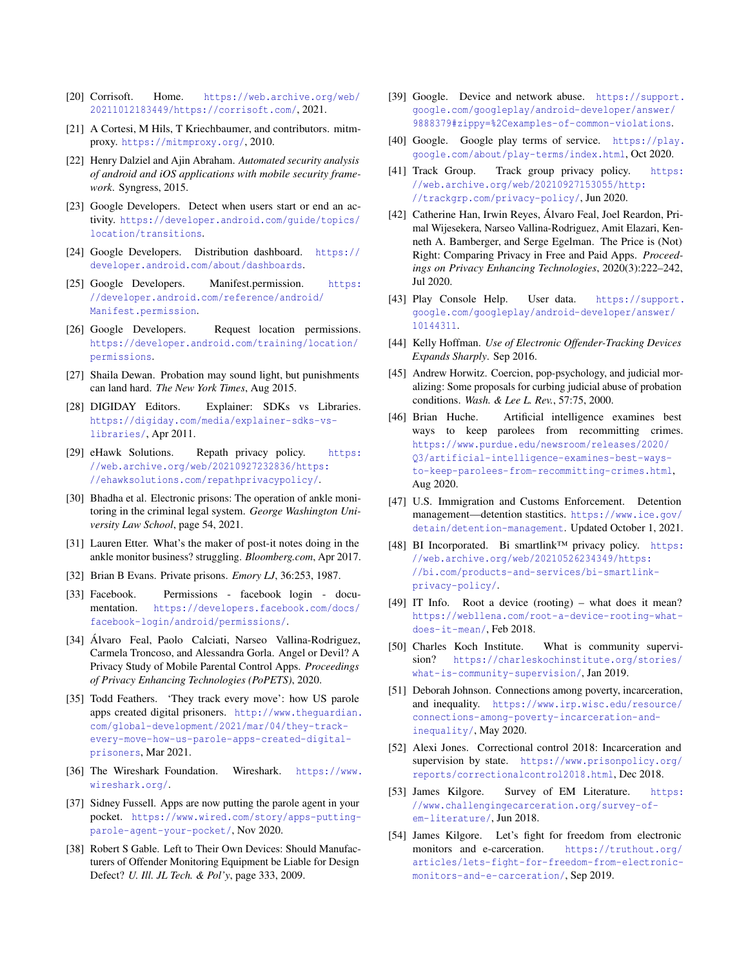- <span id="page-14-19"></span>[20] Corrisoft. Home. [https://web.archive.org/web/](https://web.archive.org/web/20211012183449/https://corrisoft.com/) [20211012183449/https://corrisoft.com/](https://web.archive.org/web/20211012183449/https://corrisoft.com/), 2021.
- <span id="page-14-8"></span>[21] A Cortesi, M Hils, T Kriechbaumer, and contributors. mitmproxy. <https://mitmproxy.org/>, 2010.
- <span id="page-14-7"></span>[22] Henry Dalziel and Ajin Abraham. *Automated security analysis of android and iOS applications with mobile security framework*. Syngress, 2015.
- <span id="page-14-16"></span>[23] Google Developers. Detect when users start or end an activity. [https://developer.android.com/guide/topics/](https://developer.android.com/guide/topics/location/transitions) [location/transitions](https://developer.android.com/guide/topics/location/transitions).
- <span id="page-14-15"></span>[24] Google Developers. Distribution dashboard. [https://](https://developer.android.com/about/dashboards) [developer.android.com/about/dashboards](https://developer.android.com/about/dashboards).
- <span id="page-14-13"></span>[25] Google Developers. Manifest.permission. [https:](https://developer.android.com/reference/android/Manifest.permission) [//developer.android.com/reference/android/](https://developer.android.com/reference/android/Manifest.permission) [Manifest.permission](https://developer.android.com/reference/android/Manifest.permission).
- <span id="page-14-14"></span>[26] Google Developers. Request location permissions. [https://developer.android.com/training/location/](https://developer.android.com/training/location/permissions) [permissions](https://developer.android.com/training/location/permissions).
- <span id="page-14-28"></span>[27] Shaila Dewan. Probation may sound light, but punishments can land hard. *The New York Times*, Aug 2015.
- <span id="page-14-17"></span>[28] DIGIDAY Editors. Explainer: SDKs vs Libraries. [https://digiday.com/media/explainer-sdks-vs](https://digiday.com/media/explainer-sdks-vs-libraries/)[libraries/](https://digiday.com/media/explainer-sdks-vs-libraries/), Apr 2011.
- <span id="page-14-21"></span>[29] eHawk Solutions. Repath privacy policy. [https:](https://web.archive.org/web/20210927232836/https://ehawksolutions.com/repathprivacypolicy/) [//web.archive.org/web/20210927232836/https:](https://web.archive.org/web/20210927232836/https://ehawksolutions.com/repathprivacypolicy/) [//ehawksolutions.com/repathprivacypolicy/](https://web.archive.org/web/20210927232836/https://ehawksolutions.com/repathprivacypolicy/).
- <span id="page-14-6"></span>[30] Bhadha et al. Electronic prisons: The operation of ankle monitoring in the criminal legal system. *George Washington University Law School*, page 54, 2021.
- <span id="page-14-25"></span>[31] Lauren Etter. What's the maker of post-it notes doing in the ankle monitor business? struggling. *Bloomberg.com*, Apr 2017.
- <span id="page-14-24"></span>[32] Brian B Evans. Private prisons. *Emory LJ*, 36:253, 1987.
- <span id="page-14-18"></span>[33] Facebook. Permissions - facebook login - documentation. [https://developers.facebook.com/docs/](https://developers.facebook.com/docs/facebook-login/android/permissions/) [facebook-login/android/permissions/](https://developers.facebook.com/docs/facebook-login/android/permissions/).
- <span id="page-14-11"></span>[34] Álvaro Feal, Paolo Calciati, Narseo Vallina-Rodriguez, Carmela Troncoso, and Alessandra Gorla. Angel or Devil? A Privacy Study of Mobile Parental Control Apps. *Proceedings of Privacy Enhancing Technologies (PoPETS)*, 2020.
- <span id="page-14-0"></span>[35] Todd Feathers. 'They track every move': how US parole apps created digital prisoners. [http://www.theguardian.](http://www.theguardian.com/global-development/2021/mar/04/they-track-every-move-how-us-parole-apps-created-digital-prisoners) [com/global-development/2021/mar/04/they-track](http://www.theguardian.com/global-development/2021/mar/04/they-track-every-move-how-us-parole-apps-created-digital-prisoners)[every-move-how-us-parole-apps-created-digital](http://www.theguardian.com/global-development/2021/mar/04/they-track-every-move-how-us-parole-apps-created-digital-prisoners)[prisoners](http://www.theguardian.com/global-development/2021/mar/04/they-track-every-move-how-us-parole-apps-created-digital-prisoners), Mar 2021.
- <span id="page-14-9"></span>[36] The Wireshark Foundation. Wireshark. [https://www.](https://www.wireshark.org/) [wireshark.org/](https://www.wireshark.org/).
- <span id="page-14-1"></span>[37] Sidney Fussell. Apps are now putting the parole agent in your pocket. [https://www.wired.com/story/apps-putting](https://www.wired.com/story/apps-putting-parole-agent-your-pocket/)[parole-agent-your-pocket/](https://www.wired.com/story/apps-putting-parole-agent-your-pocket/), Nov 2020.
- <span id="page-14-26"></span>[38] Robert S Gable. Left to Their Own Devices: Should Manufacturers of Offender Monitoring Equipment be Liable for Design Defect? *U. Ill. JL Tech. & Pol'y*, page 333, 2009.
- <span id="page-14-30"></span>[39] Google. Device and network abuse. [https://support.](https://support.google.com/googleplay/android-developer/answer/9888379#zippy=%2Cexamples-of-common-violations) [google.com/googleplay/android-developer/answer/](https://support.google.com/googleplay/android-developer/answer/9888379#zippy=%2Cexamples-of-common-violations) [9888379#zippy=%2Cexamples-of-common-violations](https://support.google.com/googleplay/android-developer/answer/9888379#zippy=%2Cexamples-of-common-violations).
- <span id="page-14-12"></span>[40] Google. Google play terms of service. [https://play.](https://play.google.com/about/play-terms/index.html) [google.com/about/play-terms/index.html](https://play.google.com/about/play-terms/index.html), Oct 2020.
- <span id="page-14-22"></span>[41] Track Group. Track group privacy policy. [https:](https://web.archive.org/web/20210927153055/http://trackgrp.com/privacy-policy/) [//web.archive.org/web/20210927153055/http:](https://web.archive.org/web/20210927153055/http://trackgrp.com/privacy-policy/) [//trackgrp.com/privacy-policy/](https://web.archive.org/web/20210927153055/http://trackgrp.com/privacy-policy/), Jun 2020.
- <span id="page-14-33"></span>[42] Catherine Han, Irwin Reyes, Álvaro Feal, Joel Reardon, Primal Wijesekera, Narseo Vallina-Rodriguez, Amit Elazari, Kenneth A. Bamberger, and Serge Egelman. The Price is (Not) Right: Comparing Privacy in Free and Paid Apps. *Proceedings on Privacy Enhancing Technologies*, 2020(3):222–242, Jul 2020.
- <span id="page-14-2"></span>[43] Play Console Help. User data. [https://support.](https://support.google.com/googleplay/android-developer/answer/10144311) [google.com/googleplay/android-developer/answer/](https://support.google.com/googleplay/android-developer/answer/10144311) [10144311](https://support.google.com/googleplay/android-developer/answer/10144311).
- <span id="page-14-5"></span>[44] Kelly Hoffman. *Use of Electronic Offender-Tracking Devices Expands Sharply*. Sep 2016.
- <span id="page-14-23"></span>[45] Andrew Horwitz. Coercion, pop-psychology, and judicial moralizing: Some proposals for curbing judicial abuse of probation conditions. *Wash. & Lee L. Rev.*, 57:75, 2000.
- <span id="page-14-32"></span>[46] Brian Huche. Artificial intelligence examines best ways to keep parolees from recommitting crimes. [https://www.purdue.edu/newsroom/releases/2020/](https://www.purdue.edu/newsroom/releases/2020/Q3/artificial-intelligence-examines-best-ways-to-keep-parolees-from-recommitting-crimes.html) [Q3/artificial-intelligence-examines-best-ways](https://www.purdue.edu/newsroom/releases/2020/Q3/artificial-intelligence-examines-best-ways-to-keep-parolees-from-recommitting-crimes.html)[to-keep-parolees-from-recommitting-crimes.html](https://www.purdue.edu/newsroom/releases/2020/Q3/artificial-intelligence-examines-best-ways-to-keep-parolees-from-recommitting-crimes.html), Aug 2020.
- <span id="page-14-34"></span>[47] U.S. Immigration and Customs Enforcement. Detention management—detention stastitics. [https://www.ice.gov/](https://www.ice.gov/detain/detention-management) [detain/detention-management](https://www.ice.gov/detain/detention-management). Updated October 1, 2021.
- <span id="page-14-20"></span>[48] BI Incorporated. Bi smartlink™ privacy policy. [https:](https://web.archive.org/web/20210526234349/https://bi.com/products-and-services/bi-smartlink-privacy-policy/) [//web.archive.org/web/20210526234349/https:](https://web.archive.org/web/20210526234349/https://bi.com/products-and-services/bi-smartlink-privacy-policy/) [//bi.com/products-and-services/bi-smartlink](https://web.archive.org/web/20210526234349/https://bi.com/products-and-services/bi-smartlink-privacy-policy/)[privacy-policy/](https://web.archive.org/web/20210526234349/https://bi.com/products-and-services/bi-smartlink-privacy-policy/).
- <span id="page-14-10"></span>[49] IT Info. Root a device (rooting) – what does it mean? [https://webllena.com/root-a-device-rooting-what](https://webllena.com/root-a-device-rooting-what-does-it-mean/)[does-it-mean/](https://webllena.com/root-a-device-rooting-what-does-it-mean/), Feb 2018.
- <span id="page-14-3"></span>[50] Charles Koch Institute. What is community supervision? [https://charleskochinstitute.org/stories/](https://charleskochinstitute.org/stories/what-is-community-supervision/) [what-is-community-supervision/](https://charleskochinstitute.org/stories/what-is-community-supervision/), Jan 2019.
- <span id="page-14-27"></span>[51] Deborah Johnson. Connections among poverty, incarceration, and inequality. [https://www.irp.wisc.edu/resource/](https://www.irp.wisc.edu/resource/connections-among-poverty-incarceration-and-inequality/) [connections-among-poverty-incarceration-and](https://www.irp.wisc.edu/resource/connections-among-poverty-incarceration-and-inequality/)[inequality/](https://www.irp.wisc.edu/resource/connections-among-poverty-incarceration-and-inequality/), May 2020.
- <span id="page-14-29"></span>[52] Alexi Jones. Correctional control 2018: Incarceration and supervision by state. [https://www.prisonpolicy.org/](https://www.prisonpolicy.org/reports/correctionalcontrol2018.html) [reports/correctionalcontrol2018.html](https://www.prisonpolicy.org/reports/correctionalcontrol2018.html), Dec 2018.
- <span id="page-14-4"></span>[53] James Kilgore. Survey of EM Literature. [https:](https://www.challengingecarceration.org/survey-of-em-literature/) [//www.challengingecarceration.org/survey-of](https://www.challengingecarceration.org/survey-of-em-literature/)[em-literature/](https://www.challengingecarceration.org/survey-of-em-literature/), Jun 2018.
- <span id="page-14-31"></span>[54] James Kilgore. Let's fight for freedom from electronic monitors and e-carceration. [https://truthout.org/](https://truthout.org/articles/lets-fight-for-freedom-from-electronic-monitors-and-e-carceration/) [articles/lets-fight-for-freedom-from-electronic](https://truthout.org/articles/lets-fight-for-freedom-from-electronic-monitors-and-e-carceration/)[monitors-and-e-carceration/](https://truthout.org/articles/lets-fight-for-freedom-from-electronic-monitors-and-e-carceration/), Sep 2019.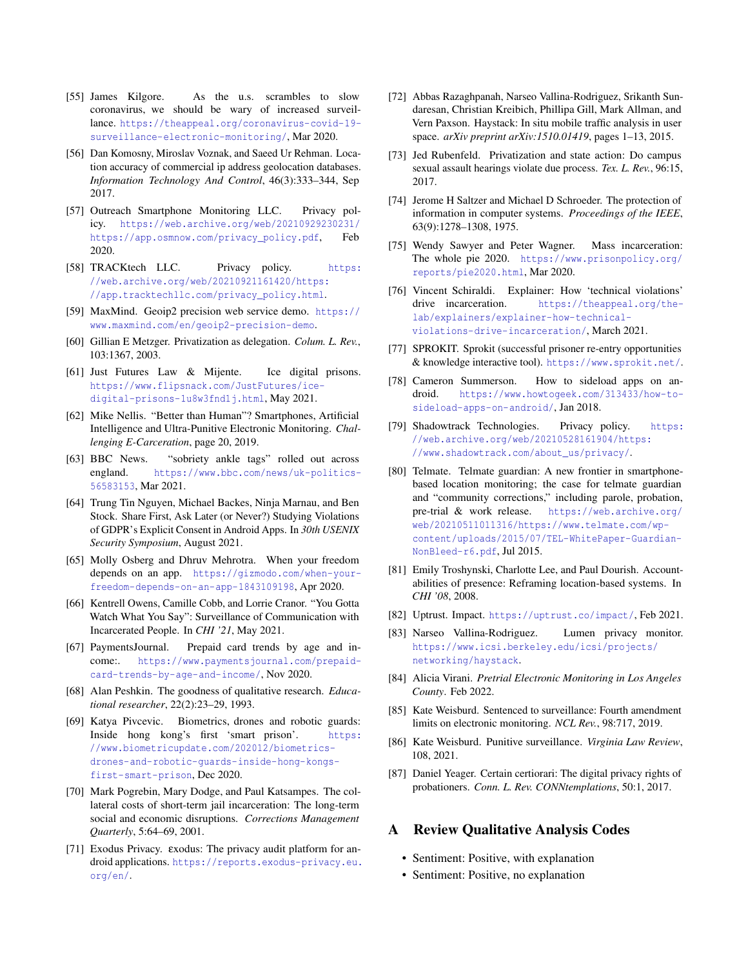- <span id="page-15-30"></span>[55] James Kilgore. As the u.s. scrambles to slow coronavirus, we should be wary of increased surveillance. [https://theappeal.org/coronavirus-covid-19](https://theappeal.org/coronavirus-covid-19-surveillance-electronic-monitoring/) [surveillance-electronic-monitoring/](https://theappeal.org/coronavirus-covid-19-surveillance-electronic-monitoring/), Mar 2020.
- <span id="page-15-14"></span>[56] Dan Komosny, Miroslav Voznak, and Saeed Ur Rehman. Location accuracy of commercial ip address geolocation databases. *Information Technology And Control*, 46(3):333–344, Sep 2017.
- <span id="page-15-20"></span>[57] Outreach Smartphone Monitoring LLC. Privacy policy. [https://web.archive.org/web/20210929230231/](https://web.archive.org/web/20210929230231/https://app.osmnow.com/privacy_policy.pdf) [https://app.osmnow.com/privacy\\_policy.pdf](https://web.archive.org/web/20210929230231/https://app.osmnow.com/privacy_policy.pdf), Feb 2020.
- <span id="page-15-18"></span>[58] TRACKtech LLC. Privacy policy. [https:](https://web.archive.org/web/20210921161420/https://app.tracktechllc.com/privacy_policy.html) [//web.archive.org/web/20210921161420/https:](https://web.archive.org/web/20210921161420/https://app.tracktechllc.com/privacy_policy.html) [//app.tracktechllc.com/privacy\\_policy.html](https://web.archive.org/web/20210921161420/https://app.tracktechllc.com/privacy_policy.html).
- <span id="page-15-13"></span>[59] MaxMind. Geoip2 precision web service demo. [https://](https://www.maxmind.com/en/geoip2-precision-demo) [www.maxmind.com/en/geoip2-precision-demo](https://www.maxmind.com/en/geoip2-precision-demo).
- <span id="page-15-25"></span>[60] Gillian E Metzger. Privatization as delegation. *Colum. L. Rev.*, 103:1367, 2003.
- <span id="page-15-4"></span>[61] Just Futures Law & Mijente. Ice digital prisons. [https://www.flipsnack.com/JustFutures/ice](https://www.flipsnack.com/JustFutures/ice-digital-prisons-1u8w3fnd1j.html)[digital-prisons-1u8w3fnd1j.html](https://www.flipsnack.com/JustFutures/ice-digital-prisons-1u8w3fnd1j.html), May 2021.
- <span id="page-15-0"></span>[62] Mike Nellis. "Better than Human"? Smartphones, Artificial Intelligence and Ultra-Punitive Electronic Monitoring. *Challenging E-Carceration*, page 20, 2019.
- <span id="page-15-31"></span>[63] BBC News. "sobriety ankle tags" rolled out across england. [https://www.bbc.com/news/uk-politics-](https://www.bbc.com/news/uk-politics-56583153)[56583153](https://www.bbc.com/news/uk-politics-56583153), Mar 2021.
- <span id="page-15-11"></span>[64] Trung Tin Nguyen, Michael Backes, Ninja Marnau, and Ben Stock. Share First, Ask Later (or Never?) Studying Violations of GDPR's Explicit Consent in Android Apps. In *30th USENIX Security Symposium*, August 2021.
- <span id="page-15-1"></span>[65] Molly Osberg and Dhruv Mehrotra. When your freedom depends on an app. [https://gizmodo.com/when-your](https://gizmodo.com/when-your-freedom-depends-on-an-app-1843109198)[freedom-depends-on-an-app-1843109198](https://gizmodo.com/when-your-freedom-depends-on-an-app-1843109198), Apr 2020.
- <span id="page-15-19"></span>[66] Kentrell Owens, Camille Cobb, and Lorrie Cranor. "You Gotta Watch What You Say": Surveillance of Communication with Incarcerated People. In *CHI '21*, May 2021.
- <span id="page-15-26"></span>[67] PaymentsJournal. Prepaid card trends by age and income:. [https://www.paymentsjournal.com/prepaid](https://www.paymentsjournal.com/prepaid-card-trends-by-age-and-income/)[card-trends-by-age-and-income/](https://www.paymentsjournal.com/prepaid-card-trends-by-age-and-income/), Nov 2020.
- <span id="page-15-9"></span>[68] Alan Peshkin. The goodness of qualitative research. *Educational researcher*, 22(2):23–29, 1993.
- <span id="page-15-32"></span>[69] Katya Pivcevic. Biometrics, drones and robotic guards: Inside hong kong's first 'smart prison'. [https:](https://www.biometricupdate.com/202012/biometrics-drones-and-robotic-guards-inside-hong-kongs-first-smart-prison) [//www.biometricupdate.com/202012/biometrics](https://www.biometricupdate.com/202012/biometrics-drones-and-robotic-guards-inside-hong-kongs-first-smart-prison)[drones-and-robotic-guards-inside-hong-kongs](https://www.biometricupdate.com/202012/biometrics-drones-and-robotic-guards-inside-hong-kongs-first-smart-prison)[first-smart-prison](https://www.biometricupdate.com/202012/biometrics-drones-and-robotic-guards-inside-hong-kongs-first-smart-prison), Dec 2020.
- <span id="page-15-27"></span>[70] Mark Pogrebin, Mary Dodge, and Paul Katsampes. The collateral costs of short-term jail incarceration: The long-term social and economic disruptions. *Corrections Management Quarterly*, 5:64–69, 2001.
- <span id="page-15-12"></span>[71] Exodus Privacy. εxodus: The privacy audit platform for android applications. [https://reports.exodus-privacy.eu.](https://reports.exodus-privacy.eu.org/en/) [org/en/](https://reports.exodus-privacy.eu.org/en/).
- <span id="page-15-7"></span>[72] Abbas Razaghpanah, Narseo Vallina-Rodriguez, Srikanth Sundaresan, Christian Kreibich, Phillipa Gill, Mark Allman, and Vern Paxson. Haystack: In situ mobile traffic analysis in user space. *arXiv preprint arXiv:1510.01419*, pages 1–13, 2015.
- <span id="page-15-24"></span>[73] Jed Rubenfeld. Privatization and state action: Do campus sexual assault hearings violate due process. *Tex. L. Rev.*, 96:15, 2017.
- <span id="page-15-28"></span>[74] Jerome H Saltzer and Michael D Schroeder. The protection of information in computer systems. *Proceedings of the IEEE*, 63(9):1278–1308, 1975.
- <span id="page-15-3"></span>[75] Wendy Sawyer and Peter Wagner. Mass incarceration: The whole pie 2020. [https://www.prisonpolicy.org/](https://www.prisonpolicy.org/reports/pie2020.html) [reports/pie2020.html](https://www.prisonpolicy.org/reports/pie2020.html), Mar 2020.
- <span id="page-15-5"></span>[76] Vincent Schiraldi. Explainer: How 'technical violations' drive incarceration. [https://theappeal.org/the](https://theappeal.org/the-lab/explainers/explainer-how-technical-violations-drive-incarceration/)[lab/explainers/explainer-how-technical](https://theappeal.org/the-lab/explainers/explainer-how-technical-violations-drive-incarceration/)[violations-drive-incarceration/](https://theappeal.org/the-lab/explainers/explainer-how-technical-violations-drive-incarceration/), March 2021.
- <span id="page-15-15"></span>[77] SPROKIT. Sprokit (successful prisoner re-entry opportunities & knowledge interactive tool). <https://www.sprokit.net/>.
- <span id="page-15-16"></span>[78] Cameron Summerson. How to sideload apps on android. [https://www.howtogeek.com/313433/how-to](https://www.howtogeek.com/313433/how-to-sideload-apps-on-android/)[sideload-apps-on-android/](https://www.howtogeek.com/313433/how-to-sideload-apps-on-android/), Jan 2018.
- <span id="page-15-21"></span>[79] Shadowtrack Technologies. Privacy policy. [https:](https://web.archive.org/web/20210528161904/https://www.shadowtrack.com/about_us/privacy/) [//web.archive.org/web/20210528161904/https:](https://web.archive.org/web/20210528161904/https://www.shadowtrack.com/about_us/privacy/) [//www.shadowtrack.com/about\\_us/privacy/](https://web.archive.org/web/20210528161904/https://www.shadowtrack.com/about_us/privacy/).
- <span id="page-15-2"></span>[80] Telmate. Telmate guardian: A new frontier in smartphonebased location monitoring; the case for telmate guardian and "community corrections," including parole, probation, pre-trial & work release. [https://web.archive.org/](https://web.archive.org/web/20210511011316/https://www.telmate.com/wp-content/uploads/2015/07/TEL-WhitePaper-Guardian-NonBleed-r6.pdf) [web/20210511011316/https://www.telmate.com/wp](https://web.archive.org/web/20210511011316/https://www.telmate.com/wp-content/uploads/2015/07/TEL-WhitePaper-Guardian-NonBleed-r6.pdf)[content/uploads/2015/07/TEL-WhitePaper-Guardian-](https://web.archive.org/web/20210511011316/https://www.telmate.com/wp-content/uploads/2015/07/TEL-WhitePaper-Guardian-NonBleed-r6.pdf)[NonBleed-r6.pdf](https://web.archive.org/web/20210511011316/https://www.telmate.com/wp-content/uploads/2015/07/TEL-WhitePaper-Guardian-NonBleed-r6.pdf), Jul 2015.
- <span id="page-15-33"></span>[81] Emily Troshynski, Charlotte Lee, and Paul Dourish. Accountabilities of presence: Reframing location-based systems. In *CHI '08*, 2008.
- <span id="page-15-17"></span>[82] Uptrust. Impact. <https://uptrust.co/impact/>, Feb 2021.
- <span id="page-15-8"></span>[83] Narseo Vallina-Rodriguez. Lumen privacy monitor. [https://www.icsi.berkeley.edu/icsi/projects/](https://www.icsi.berkeley.edu/icsi/projects/networking/haystack) [networking/haystack](https://www.icsi.berkeley.edu/icsi/projects/networking/haystack).
- <span id="page-15-29"></span>[84] Alicia Virani. *Pretrial Electronic Monitoring in Los Angeles County*. Feb 2022.
- <span id="page-15-23"></span>[85] Kate Weisburd. Sentenced to surveillance: Fourth amendment limits on electronic monitoring. *NCL Rev.*, 98:717, 2019.
- <span id="page-15-6"></span>[86] Kate Weisburd. Punitive surveillance. *Virginia Law Review*, 108, 2021.
- <span id="page-15-22"></span>[87] Daniel Yeager. Certain certiorari: The digital privacy rights of probationers. *Conn. L. Rev. CONNtemplations*, 50:1, 2017.

## <span id="page-15-10"></span>A Review Qualitative Analysis Codes

- Sentiment: Positive, with explanation
- Sentiment: Positive, no explanation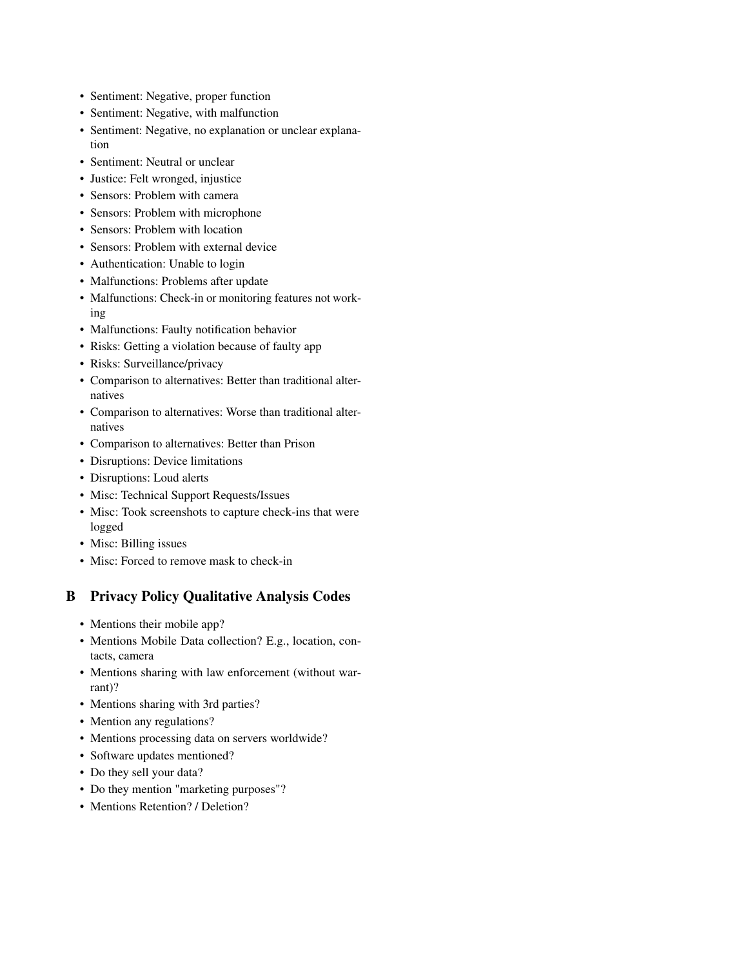- Sentiment: Negative, proper function
- Sentiment: Negative, with malfunction
- Sentiment: Negative, no explanation or unclear explanation
- Sentiment: Neutral or unclear
- Justice: Felt wronged, injustice
- Sensors: Problem with camera
- Sensors: Problem with microphone
- Sensors: Problem with location
- Sensors: Problem with external device
- Authentication: Unable to login
- Malfunctions: Problems after update
- Malfunctions: Check-in or monitoring features not working
- Malfunctions: Faulty notification behavior
- Risks: Getting a violation because of faulty app
- Risks: Surveillance/privacy
- Comparison to alternatives: Better than traditional alternatives
- Comparison to alternatives: Worse than traditional alternatives
- Comparison to alternatives: Better than Prison
- Disruptions: Device limitations
- Disruptions: Loud alerts
- Misc: Technical Support Requests/Issues
- Misc: Took screenshots to capture check-ins that were logged
- Misc: Billing issues
- Misc: Forced to remove mask to check-in

# <span id="page-16-0"></span>B Privacy Policy Qualitative Analysis Codes

- Mentions their mobile app?
- Mentions Mobile Data collection? E.g., location, contacts, camera
- Mentions sharing with law enforcement (without warrant)?
- Mentions sharing with 3rd parties?
- Mention any regulations?
- Mentions processing data on servers worldwide?
- Software updates mentioned?
- Do they sell your data?
- Do they mention "marketing purposes"?
- Mentions Retention? / Deletion?